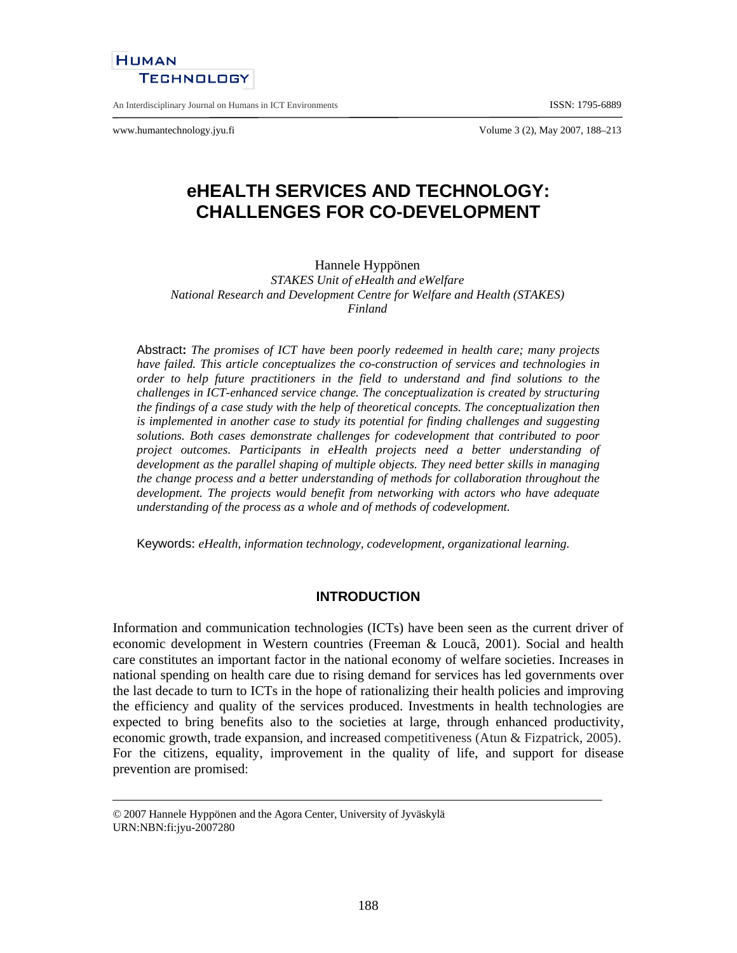

An Interdisciplinary Journal on Humans in ICT Environments ISSN: 1795-6889

www.humantechnology.jyu.fi Volume 3 (2), May 2007, 188–213

# **eHEALTH SERVICES AND TECHNOLOGY: CHALLENGES FOR CO-DEVELOPMENT**

#### Hannele Hyppönen

*STAKES Unit of eHealth and eWelfare National Research and Development Centre for Welfare and Health (STAKES) Finland* 

Abstract**:** *The promises of ICT have been poorly redeemed in health care; many projects have failed. This article conceptualizes the co-construction of services and technologies in order to help future practitioners in the field to understand and find solutions to the challenges in ICT-enhanced service change. The conceptualization is created by structuring the findings of a case study with the help of theoretical concepts. The conceptualization then is implemented in another case to study its potential for finding challenges and suggesting solutions. Both cases demonstrate challenges for codevelopment that contributed to poor project outcomes. Participants in eHealth projects need a better understanding of development as the parallel shaping of multiple objects. They need better skills in managing the change process and a better understanding of methods for collaboration throughout the development. The projects would benefit from networking with actors who have adequate understanding of the process as a whole and of methods of codevelopment.* 

Keywords: *eHealth, information technology, codevelopment, organizational learning.* 

### **INTRODUCTION**

Information and communication technologies (ICTs) have been seen as the current driver of economic development in Western countries (Freeman & Loucã, 2001). Social and health care constitutes an important factor in the national economy of welfare societies. Increases in national spending on health care due to rising demand for services has led governments over the last decade to turn to ICTs in the hope of rationalizing their health policies and improving the efficiency and quality of the services produced. Investments in health technologies are expected to bring benefits also to the societies at large, through enhanced productivity, economic growth, trade expansion, and increased competitiveness (Atun & Fizpatrick, 2005). For the citizens, equality, improvement in the quality of life, and support for disease prevention are promised:

<sup>© 2007</sup> Hannele Hyppönen and the Agora Center, University of Jyväskylä URN:NBN:fi:jyu-2007280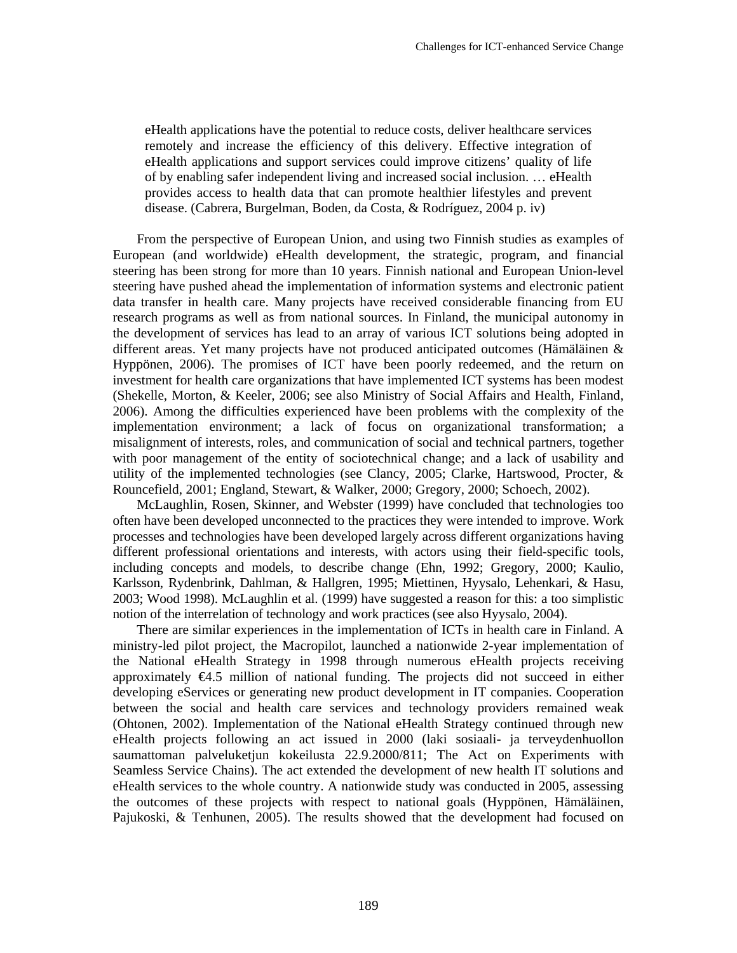eHealth applications have the potential to reduce costs, deliver healthcare services remotely and increase the efficiency of this delivery. Effective integration of eHealth applications and support services could improve citizens' quality of life of by enabling safer independent living and increased social inclusion. … eHealth provides access to health data that can promote healthier lifestyles and prevent disease. (Cabrera, Burgelman, Boden, da Costa, & Rodríguez, 2004 p. iv)

From the perspective of European Union, and using two Finnish studies as examples of European (and worldwide) eHealth development, the strategic, program, and financial steering has been strong for more than 10 years. Finnish national and European Union-level steering have pushed ahead the implementation of information systems and electronic patient data transfer in health care. Many projects have received considerable financing from EU research programs as well as from national sources. In Finland, the municipal autonomy in the development of services has lead to an array of various ICT solutions being adopted in different areas. Yet many projects have not produced anticipated outcomes (Hämäläinen & Hyppönen, 2006). The promises of ICT have been poorly redeemed, and the return on investment for health care organizations that have implemented ICT systems has been modest (Shekelle, Morton, & Keeler, 2006; see also Ministry of Social Affairs and Health, Finland, 2006). Among the difficulties experienced have been problems with the complexity of the implementation environment; a lack of focus on organizational transformation; a misalignment of interests, roles, and communication of social and technical partners, together with poor management of the entity of sociotechnical change; and a lack of usability and utility of the implemented technologies (see Clancy, 2005; Clarke, Hartswood, Procter, & Rouncefield, 2001; England, Stewart, & Walker, 2000; Gregory, 2000; Schoech, 2002).

McLaughlin, Rosen, Skinner, and Webster (1999) have concluded that technologies too often have been developed unconnected to the practices they were intended to improve. Work processes and technologies have been developed largely across different organizations having different professional orientations and interests, with actors using their field-specific tools, including concepts and models, to describe change (Ehn, 1992; Gregory, 2000; Kaulio, Karlsson, Rydenbrink, Dahlman, & Hallgren, 1995; Miettinen, Hyysalo, Lehenkari, & Hasu, 2003; Wood 1998). McLaughlin et al. (1999) have suggested a reason for this: a too simplistic notion of the interrelation of technology and work practices (see also Hyysalo, 2004).

There are similar experiences in the implementation of ICTs in health care in Finland. A ministry-led pilot project, the Macropilot, launched a nationwide 2-year implementation of the National eHealth Strategy in 1998 through numerous eHealth projects receiving approximately €4.5 million of national funding. The projects did not succeed in either developing eServices or generating new product development in IT companies. Cooperation between the social and health care services and technology providers remained weak (Ohtonen, 2002). Implementation of the National eHealth Strategy continued through new eHealth projects following an act issued in 2000 (laki sosiaali- ja terveydenhuollon saumattoman palveluketjun kokeilusta 22.9.2000/811; The Act on Experiments with Seamless Service Chains). The act extended the development of new health IT solutions and eHealth services to the whole country. A nationwide study was conducted in 2005, assessing the outcomes of these projects with respect to national goals (Hyppönen, Hämäläinen, Pajukoski, & Tenhunen, 2005). The results showed that the development had focused on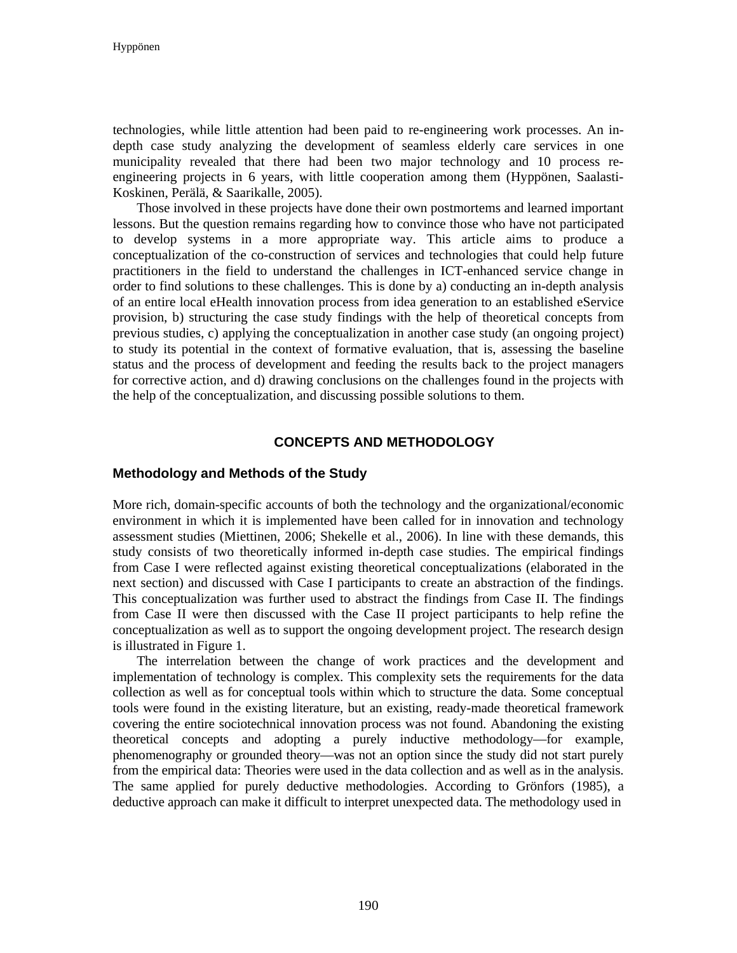technologies, while little attention had been paid to re-engineering work processes. An indepth case study analyzing the development of seamless elderly care services in one municipality revealed that there had been two major technology and 10 process reengineering projects in 6 years, with little cooperation among them (Hyppönen, Saalasti-Koskinen, Perälä, & Saarikalle, 2005).

Those involved in these projects have done their own postmortems and learned important lessons. But the question remains regarding how to convince those who have not participated to develop systems in a more appropriate way. This article aims to produce a conceptualization of the co-construction of services and technologies that could help future practitioners in the field to understand the challenges in ICT-enhanced service change in order to find solutions to these challenges. This is done by a) conducting an in-depth analysis of an entire local eHealth innovation process from idea generation to an established eService provision, b) structuring the case study findings with the help of theoretical concepts from previous studies, c) applying the conceptualization in another case study (an ongoing project) to study its potential in the context of formative evaluation, that is, assessing the baseline status and the process of development and feeding the results back to the project managers for corrective action, and d) drawing conclusions on the challenges found in the projects with the help of the conceptualization, and discussing possible solutions to them.

### **CONCEPTS AND METHODOLOGY**

### **Methodology and Methods of the Study**

More rich, domain-specific accounts of both the technology and the organizational/economic environment in which it is implemented have been called for in innovation and technology assessment studies (Miettinen, 2006; Shekelle et al., 2006). In line with these demands, this study consists of two theoretically informed in-depth case studies. The empirical findings from Case I were reflected against existing theoretical conceptualizations (elaborated in the next section) and discussed with Case I participants to create an abstraction of the findings. This conceptualization was further used to abstract the findings from Case II. The findings from Case II were then discussed with the Case II project participants to help refine the conceptualization as well as to support the ongoing development project. The research design is illustrated in Figure 1.

The interrelation between the change of work practices and the development and implementation of technology is complex. This complexity sets the requirements for the data collection as well as for conceptual tools within which to structure the data. Some conceptual tools were found in the existing literature, but an existing, ready-made theoretical framework covering the entire sociotechnical innovation process was not found. Abandoning the existing theoretical concepts and adopting a purely inductive methodology—for example, phenomenography or grounded theory—was not an option since the study did not start purely from the empirical data: Theories were used in the data collection and as well as in the analysis. The same applied for purely deductive methodologies. According to Grönfors (1985), a deductive approach can make it difficult to interpret unexpected data. The methodology used in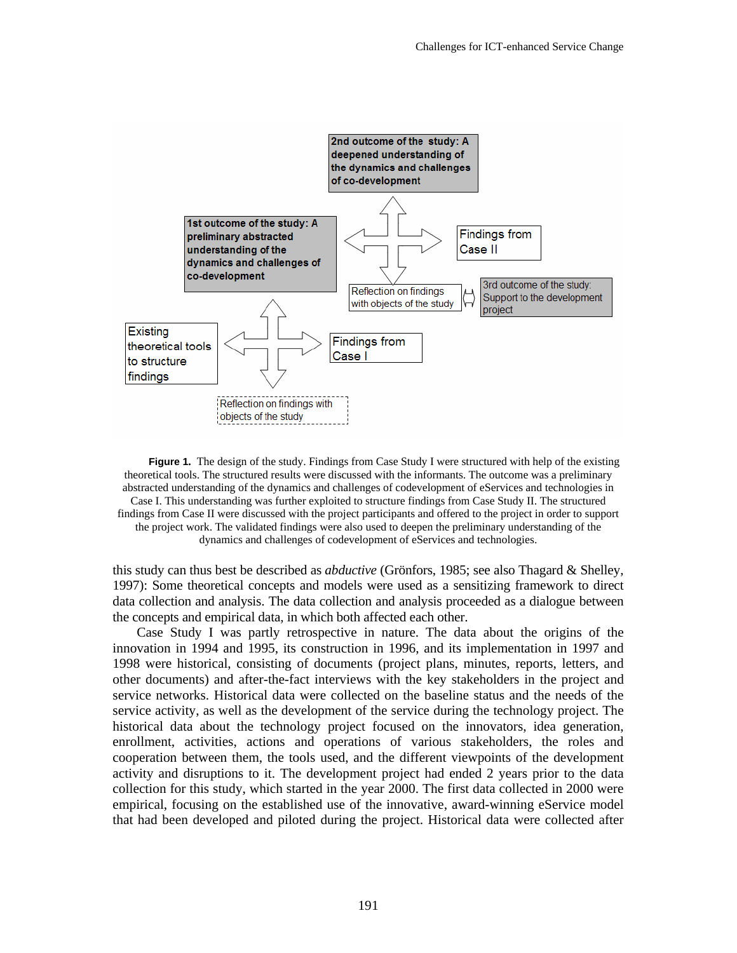

**Figure 1.** The design of the study. Findings from Case Study I were structured with help of the existing theoretical tools. The structured results were discussed with the informants. The outcome was a preliminary abstracted understanding of the dynamics and challenges of codevelopment of eServices and technologies in Case I. This understanding was further exploited to structure findings from Case Study II. The structured findings from Case II were discussed with the project participants and offered to the project in order to support the project work. The validated findings were also used to deepen the preliminary understanding of the dynamics and challenges of codevelopment of eServices and technologies.

this study can thus best be described as *abductive* (Grönfors, 1985; see also Thagard & Shelley, 1997): Some theoretical concepts and models were used as a sensitizing framework to direct data collection and analysis. The data collection and analysis proceeded as a dialogue between the concepts and empirical data, in which both affected each other.

Case Study I was partly retrospective in nature. The data about the origins of the innovation in 1994 and 1995, its construction in 1996, and its implementation in 1997 and 1998 were historical, consisting of documents (project plans, minutes, reports, letters, and other documents) and after-the-fact interviews with the key stakeholders in the project and service networks. Historical data were collected on the baseline status and the needs of the service activity, as well as the development of the service during the technology project. The historical data about the technology project focused on the innovators, idea generation, enrollment, activities, actions and operations of various stakeholders, the roles and cooperation between them, the tools used, and the different viewpoints of the development activity and disruptions to it. The development project had ended 2 years prior to the data collection for this study, which started in the year 2000. The first data collected in 2000 were empirical, focusing on the established use of the innovative, award-winning eService model that had been developed and piloted during the project. Historical data were collected after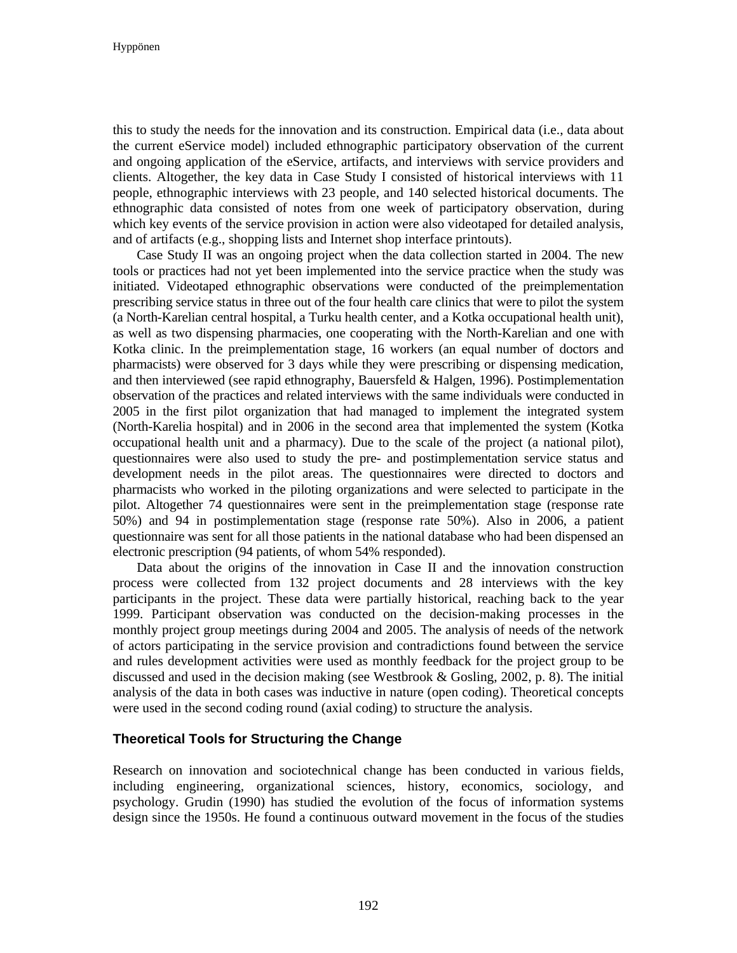Hyppönen

this to study the needs for the innovation and its construction. Empirical data (i.e., data about the current eService model) included ethnographic participatory observation of the current and ongoing application of the eService, artifacts, and interviews with service providers and clients. Altogether, the key data in Case Study I consisted of historical interviews with 11 people, ethnographic interviews with 23 people, and 140 selected historical documents. The ethnographic data consisted of notes from one week of participatory observation, during which key events of the service provision in action were also videotaped for detailed analysis, and of artifacts (e.g., shopping lists and Internet shop interface printouts).

Case Study II was an ongoing project when the data collection started in 2004. The new tools or practices had not yet been implemented into the service practice when the study was initiated. Videotaped ethnographic observations were conducted of the preimplementation prescribing service status in three out of the four health care clinics that were to pilot the system (a North-Karelian central hospital, a Turku health center, and a Kotka occupational health unit), as well as two dispensing pharmacies, one cooperating with the North-Karelian and one with Kotka clinic. In the preimplementation stage, 16 workers (an equal number of doctors and pharmacists) were observed for 3 days while they were prescribing or dispensing medication, and then interviewed (see rapid ethnography, Bauersfeld & Halgen, 1996). Postimplementation observation of the practices and related interviews with the same individuals were conducted in 2005 in the first pilot organization that had managed to implement the integrated system (North-Karelia hospital) and in 2006 in the second area that implemented the system (Kotka occupational health unit and a pharmacy). Due to the scale of the project (a national pilot), questionnaires were also used to study the pre- and postimplementation service status and development needs in the pilot areas. The questionnaires were directed to doctors and pharmacists who worked in the piloting organizations and were selected to participate in the pilot. Altogether 74 questionnaires were sent in the preimplementation stage (response rate 50%) and 94 in postimplementation stage (response rate 50%). Also in 2006, a patient questionnaire was sent for all those patients in the national database who had been dispensed an electronic prescription (94 patients, of whom 54% responded).

Data about the origins of the innovation in Case II and the innovation construction process were collected from 132 project documents and 28 interviews with the key participants in the project. These data were partially historical, reaching back to the year 1999. Participant observation was conducted on the decision-making processes in the monthly project group meetings during 2004 and 2005. The analysis of needs of the network of actors participating in the service provision and contradictions found between the service and rules development activities were used as monthly feedback for the project group to be discussed and used in the decision making (see Westbrook & Gosling, 2002, p. 8). The initial analysis of the data in both cases was inductive in nature (open coding). Theoretical concepts were used in the second coding round (axial coding) to structure the analysis.

# **Theoretical Tools for Structuring the Change**

Research on innovation and sociotechnical change has been conducted in various fields, including engineering, organizational sciences, history, economics, sociology, and psychology. Grudin (1990) has studied the evolution of the focus of information systems design since the 1950s. He found a continuous outward movement in the focus of the studies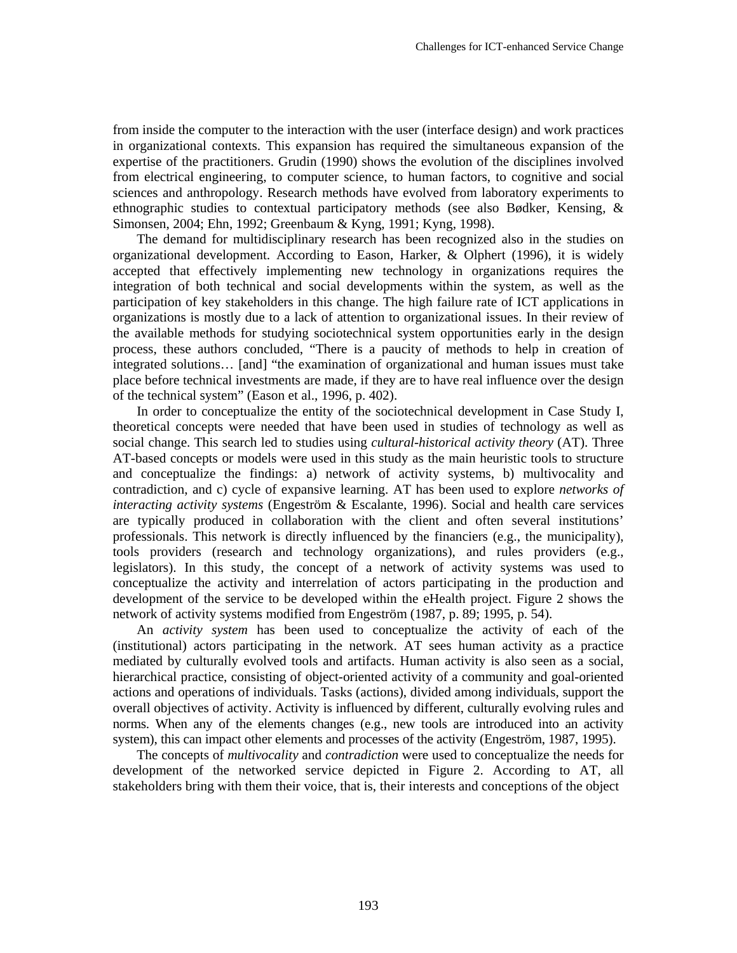from inside the computer to the interaction with the user (interface design) and work practices in organizational contexts. This expansion has required the simultaneous expansion of the expertise of the practitioners. Grudin (1990) shows the evolution of the disciplines involved from electrical engineering, to computer science, to human factors, to cognitive and social sciences and anthropology. Research methods have evolved from laboratory experiments to ethnographic studies to contextual participatory methods (see also Bødker, Kensing, & Simonsen, 2004; Ehn, 1992; Greenbaum & Kyng, 1991; Kyng, 1998).

The demand for multidisciplinary research has been recognized also in the studies on organizational development. According to Eason, Harker, & Olphert (1996), it is widely accepted that effectively implementing new technology in organizations requires the integration of both technical and social developments within the system, as well as the participation of key stakeholders in this change. The high failure rate of ICT applications in organizations is mostly due to a lack of attention to organizational issues. In their review of the available methods for studying sociotechnical system opportunities early in the design process, these authors concluded, "There is a paucity of methods to help in creation of integrated solutions… [and] "the examination of organizational and human issues must take place before technical investments are made, if they are to have real influence over the design of the technical system" (Eason et al., 1996, p. 402).

In order to conceptualize the entity of the sociotechnical development in Case Study I, theoretical concepts were needed that have been used in studies of technology as well as social change. This search led to studies using *cultural-historical activity theory* (AT). Three AT-based concepts or models were used in this study as the main heuristic tools to structure and conceptualize the findings: a) network of activity systems, b) multivocality and contradiction, and c) cycle of expansive learning. AT has been used to explore *networks of interacting activity systems* (Engeström & Escalante, 1996). Social and health care services are typically produced in collaboration with the client and often several institutions' professionals. This network is directly influenced by the financiers  $(e.g., the nunicipality)$ , tools providers (research and technology organizations), and rules providers (e.g., legislators). In this study, the concept of a network of activity systems was used to conceptualize the activity and interrelation of actors participating in the production and development of the service to be developed within the eHealth project. Figure 2 shows the network of activity systems modified from Engeström (1987, p. 89; 1995, p. 54).

An *activity system* has been used to conceptualize the activity of each of the (institutional) actors participating in the network. AT sees human activity as a practice mediated by culturally evolved tools and artifacts. Human activity is also seen as a social, hierarchical practice, consisting of object-oriented activity of a community and goal-oriented actions and operations of individuals. Tasks (actions), divided among individuals, support the overall objectives of activity. Activity is influenced by different, culturally evolving rules and norms. When any of the elements changes (e.g., new tools are introduced into an activity system), this can impact other elements and processes of the activity (Engeström, 1987, 1995).

The concepts of *multivocality* and *contradiction* were used to conceptualize the needs for development of the networked service depicted in Figure 2. According to AT, all stakeholders bring with them their voice, that is, their interests and conceptions of the object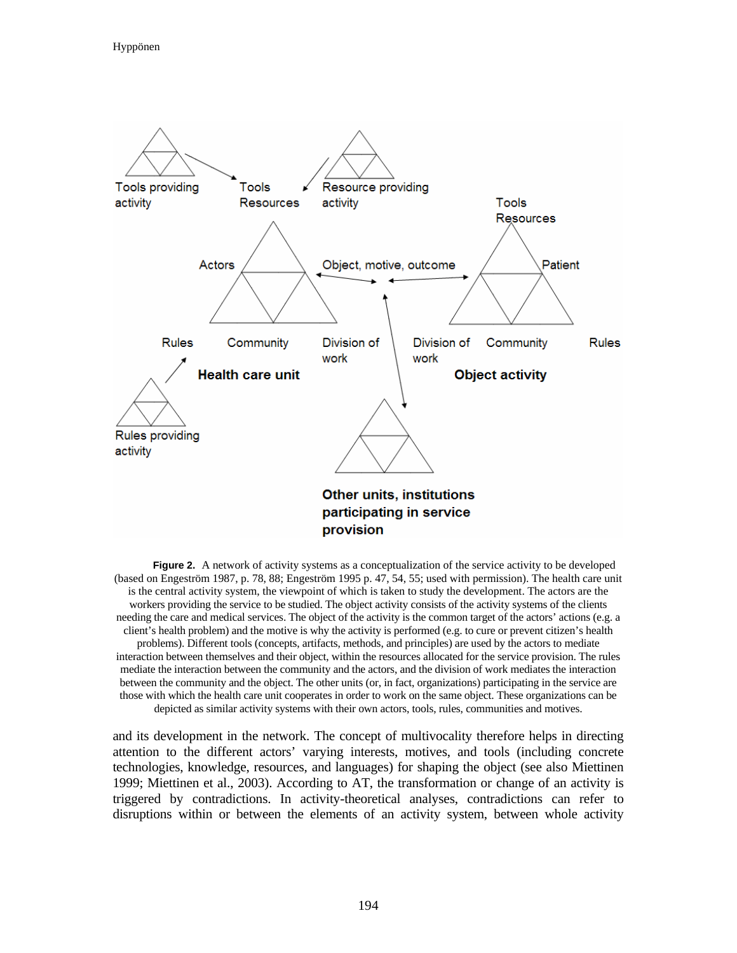

**Figure 2.** A network of activity systems as a conceptualization of the service activity to be developed (based on Engeström 1987, p. 78, 88; Engeström 1995 p. 47, 54, 55; used with permission). The health care unit is the central activity system, the viewpoint of which is taken to study the development. The actors are the workers providing the service to be studied. The object activity consists of the activity systems of the clients needing the care and medical services. The object of the activity is the common target of the actors' actions (e.g. a client's health problem) and the motive is why the activity is performed (e.g. to cure or prevent citizen's health problems). Different tools (concepts, artifacts, methods, and principles) are used by the actors to mediate interaction between themselves and their object, within the resources allocated for the service provision. The rules mediate the interaction between the community and the actors, and the division of work mediates the interaction between the community and the object. The other units (or, in fact, organizations) participating in the service are those with which the health care unit cooperates in order to work on the same object. These organizations can be depicted as similar activity systems with their own actors, tools, rules, communities and motives.

and its development in the network. The concept of multivocality therefore helps in directing attention to the different actors' varying interests, motives, and tools (including concrete technologies, knowledge, resources, and languages) for shaping the object (see also Miettinen 1999; Miettinen et al., 2003). According to AT, the transformation or change of an activity is triggered by contradictions. In activity-theoretical analyses, contradictions can refer to disruptions within or between the elements of an activity system, between whole activity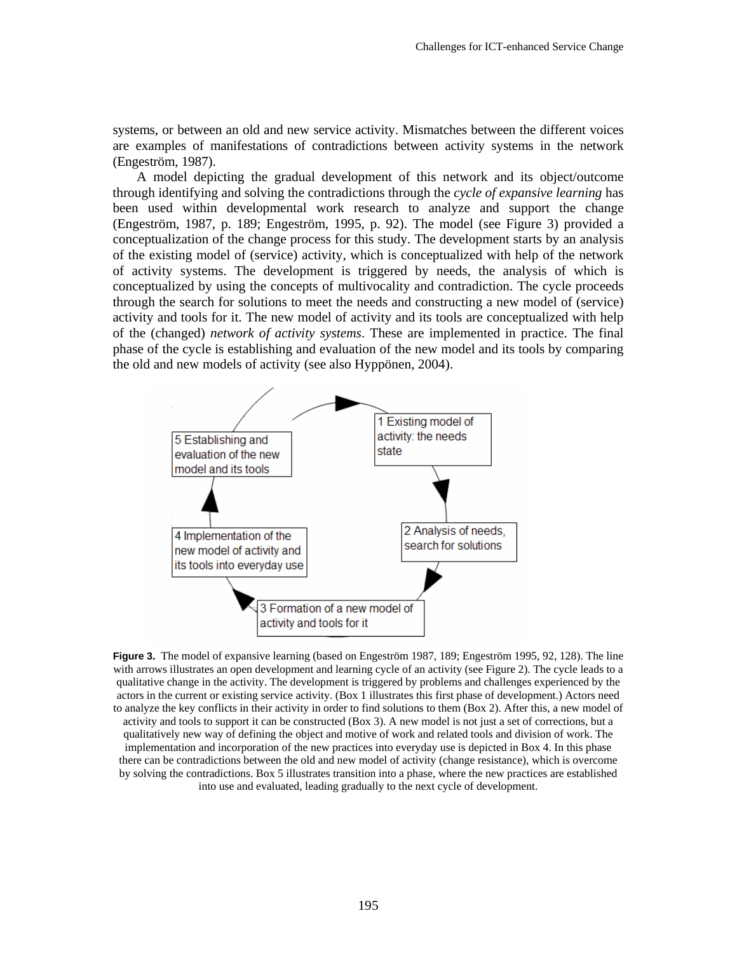systems, or between an old and new service activity. Mismatches between the different voices are examples of manifestations of contradictions between activity systems in the network (Engeström, 1987).

A model depicting the gradual development of this network and its object/outcome through identifying and solving the contradictions through the *cycle of expansive learning* has been used within developmental work research to analyze and support the change (Engeström, 1987, p. 189; Engeström, 1995, p. 92). The model (see Figure 3) provided a conceptualization of the change process for this study. The development starts by an analysis of the existing model of (service) activity, which is conceptualized with help of the network of activity systems. The development is triggered by needs, the analysis of which is conceptualized by using the concepts of multivocality and contradiction. The cycle proceeds through the search for solutions to meet the needs and constructing a new model of (service) activity and tools for it. The new model of activity and its tools are conceptualized with help of the (changed) *network of activity systems*. These are implemented in practice. The final phase of the cycle is establishing and evaluation of the new model and its tools by comparing the old and new models of activity (see also Hyppönen, 2004).



**Figure 3.** The model of expansive learning (based on Engeström 1987, 189; Engeström 1995, 92, 128). The line with arrows illustrates an open development and learning cycle of an activity (see Figure 2). The cycle leads to a qualitative change in the activity. The development is triggered by problems and challenges experienced by the actors in the current or existing service activity. (Box 1 illustrates this first phase of development.) Actors need to analyze the key conflicts in their activity in order to find solutions to them (Box 2). After this, a new model of activity and tools to support it can be constructed (Box 3). A new model is not just a set of corrections, but a qualitatively new way of defining the object and motive of work and related tools and division of work. The implementation and incorporation of the new practices into everyday use is depicted in Box 4. In this phase there can be contradictions between the old and new model of activity (change resistance), which is overcome by solving the contradictions. Box 5 illustrates transition into a phase, where the new practices are established into use and evaluated, leading gradually to the next cycle of development.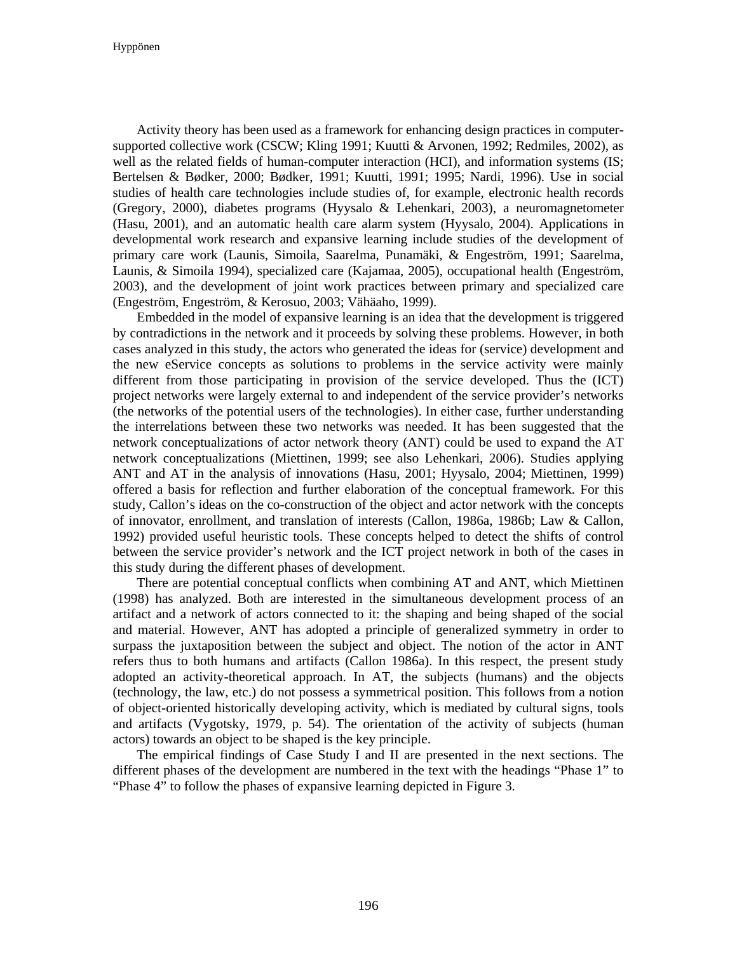Activity theory has been used as a framework for enhancing design practices in computersupported collective work (CSCW; Kling 1991; Kuutti & Arvonen, 1992; Redmiles, 2002), as well as the related fields of human-computer interaction (HCI), and information systems (IS; Bertelsen & Bødker, 2000; Bødker, 1991; Kuutti, 1991; 1995; Nardi, 1996). Use in social studies of health care technologies include studies of, for example, electronic health records (Gregory, 2000), diabetes programs (Hyysalo & Lehenkari, 2003), a neuromagnetometer (Hasu, 2001), and an automatic health care alarm system (Hyysalo, 2004). Applications in developmental work research and expansive learning include studies of the development of primary care work (Launis, Simoila, Saarelma, Punamäki, & Engeström, 1991; Saarelma, Launis, & Simoila 1994), specialized care (Kajamaa, 2005), occupational health (Engeström, 2003), and the development of joint work practices between primary and specialized care (Engeström, Engeström, & Kerosuo, 2003; Vähäaho, 1999).

Embedded in the model of expansive learning is an idea that the development is triggered by contradictions in the network and it proceeds by solving these problems. However, in both cases analyzed in this study, the actors who generated the ideas for (service) development and the new eService concepts as solutions to problems in the service activity were mainly different from those participating in provision of the service developed. Thus the (ICT) project networks were largely external to and independent of the service provider's networks (the networks of the potential users of the technologies). In either case, further understanding the interrelations between these two networks was needed. It has been suggested that the network conceptualizations of actor network theory (ANT) could be used to expand the AT network conceptualizations (Miettinen, 1999; see also Lehenkari, 2006). Studies applying ANT and AT in the analysis of innovations (Hasu, 2001; Hyysalo, 2004; Miettinen, 1999) offered a basis for reflection and further elaboration of the conceptual framework. For this study, Callon's ideas on the co-construction of the object and actor network with the concepts of innovator, enrollment, and translation of interests (Callon, 1986a, 1986b; Law & Callon, 1992) provided useful heuristic tools. These concepts helped to detect the shifts of control between the service provider's network and the ICT project network in both of the cases in this study during the different phases of development.

There are potential conceptual conflicts when combining AT and ANT, which Miettinen (1998) has analyzed. Both are interested in the simultaneous development process of an artifact and a network of actors connected to it: the shaping and being shaped of the social and material. However, ANT has adopted a principle of generalized symmetry in order to surpass the juxtaposition between the subject and object. The notion of the actor in ANT refers thus to both humans and artifacts (Callon 1986a). In this respect, the present study adopted an activity-theoretical approach. In AT, the subjects (humans) and the objects (technology, the law, etc.) do not possess a symmetrical position. This follows from a notion of object-oriented historically developing activity, which is mediated by cultural signs, tools and artifacts (Vygotsky, 1979, p. 54). The orientation of the activity of subjects (human actors) towards an object to be shaped is the key principle.

The empirical findings of Case Study I and II are presented in the next sections. The different phases of the development are numbered in the text with the headings "Phase 1" to "Phase 4" to follow the phases of expansive learning depicted in Figure 3.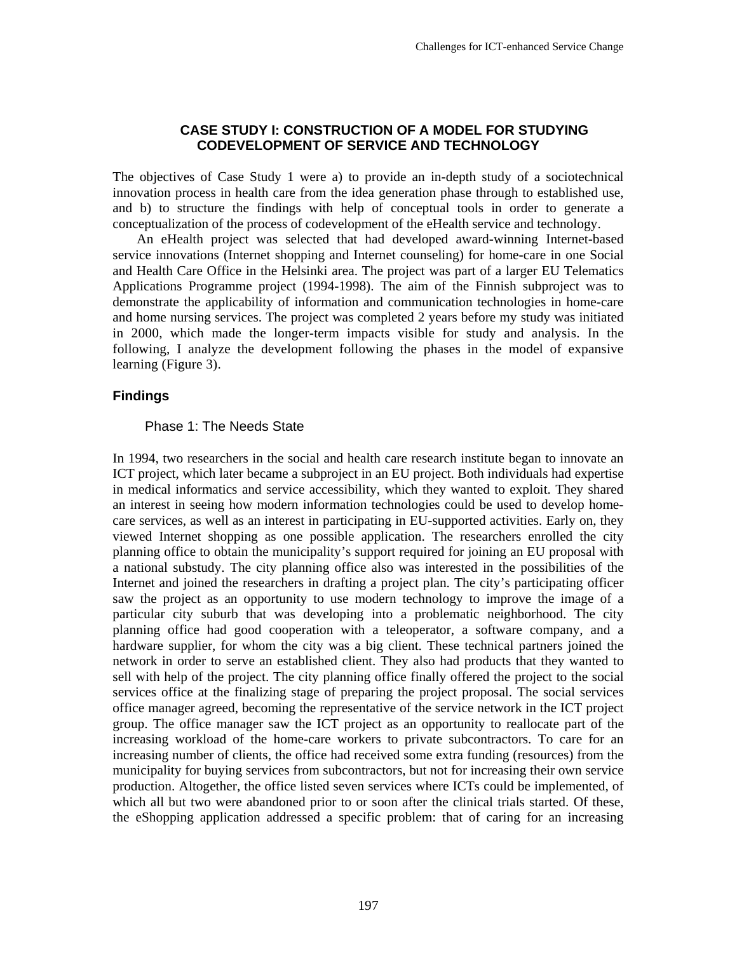# **CASE STUDY I: CONSTRUCTION OF A MODEL FOR STUDYING CODEVELOPMENT OF SERVICE AND TECHNOLOGY**

The objectives of Case Study 1 were a) to provide an in-depth study of a sociotechnical innovation process in health care from the idea generation phase through to established use, and b) to structure the findings with help of conceptual tools in order to generate a conceptualization of the process of codevelopment of the eHealth service and technology.

An eHealth project was selected that had developed award-winning Internet-based service innovations (Internet shopping and Internet counseling) for home-care in one Social and Health Care Office in the Helsinki area. The project was part of a larger EU Telematics Applications Programme project (1994-1998). The aim of the Finnish subproject was to demonstrate the applicability of information and communication technologies in home-care and home nursing services. The project was completed 2 years before my study was initiated in 2000, which made the longer-term impacts visible for study and analysis. In the following, I analyze the development following the phases in the model of expansive learning (Figure 3).

### **Findings**

#### Phase 1: The Needs State

In 1994, two researchers in the social and health care research institute began to innovate an ICT project, which later became a subproject in an EU project. Both individuals had expertise in medical informatics and service accessibility, which they wanted to exploit. They shared an interest in seeing how modern information technologies could be used to develop homecare services, as well as an interest in participating in EU-supported activities. Early on, they viewed Internet shopping as one possible application. The researchers enrolled the city planning office to obtain the municipality's support required for joining an EU proposal with a national substudy. The city planning office also was interested in the possibilities of the Internet and joined the researchers in drafting a project plan. The city's participating officer saw the project as an opportunity to use modern technology to improve the image of a particular city suburb that was developing into a problematic neighborhood. The city planning office had good cooperation with a teleoperator, a software company, and a hardware supplier, for whom the city was a big client. These technical partners joined the network in order to serve an established client. They also had products that they wanted to sell with help of the project. The city planning office finally offered the project to the social services office at the finalizing stage of preparing the project proposal. The social services office manager agreed, becoming the representative of the service network in the ICT project group. The office manager saw the ICT project as an opportunity to reallocate part of the increasing workload of the home-care workers to private subcontractors. To care for an increasing number of clients, the office had received some extra funding (resources) from the municipality for buying services from subcontractors, but not for increasing their own service production. Altogether, the office listed seven services where ICTs could be implemented, of which all but two were abandoned prior to or soon after the clinical trials started. Of these, the eShopping application addressed a specific problem: that of caring for an increasing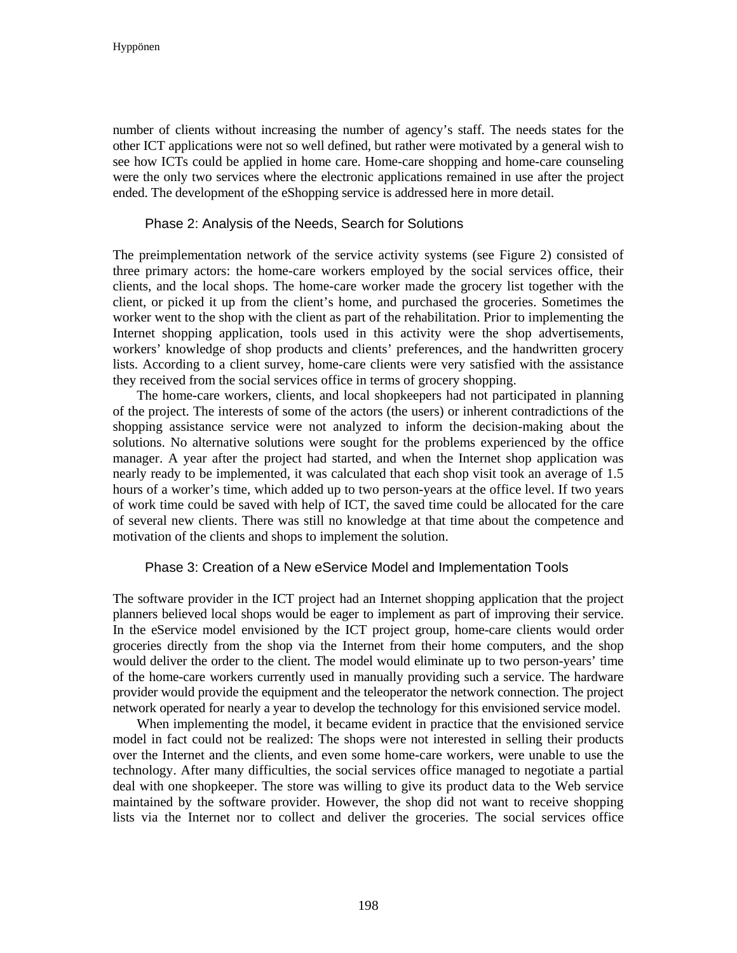number of clients without increasing the number of agency's staff. The needs states for the other ICT applications were not so well defined, but rather were motivated by a general wish to see how ICTs could be applied in home care. Home-care shopping and home-care counseling were the only two services where the electronic applications remained in use after the project ended. The development of the eShopping service is addressed here in more detail.

### Phase 2: Analysis of the Needs, Search for Solutions

The preimplementation network of the service activity systems (see Figure 2) consisted of three primary actors: the home-care workers employed by the social services office, their clients, and the local shops. The home-care worker made the grocery list together with the client, or picked it up from the client's home, and purchased the groceries. Sometimes the worker went to the shop with the client as part of the rehabilitation. Prior to implementing the Internet shopping application, tools used in this activity were the shop advertisements, workers' knowledge of shop products and clients' preferences, and the handwritten grocery lists. According to a client survey, home-care clients were very satisfied with the assistance they received from the social services office in terms of grocery shopping.

The home-care workers, clients, and local shopkeepers had not participated in planning of the project. The interests of some of the actors (the users) or inherent contradictions of the shopping assistance service were not analyzed to inform the decision-making about the solutions. No alternative solutions were sought for the problems experienced by the office manager. A year after the project had started, and when the Internet shop application was nearly ready to be implemented, it was calculated that each shop visit took an average of 1.5 hours of a worker's time, which added up to two person-years at the office level. If two years of work time could be saved with help of ICT, the saved time could be allocated for the care of several new clients. There was still no knowledge at that time about the competence and motivation of the clients and shops to implement the solution.

#### Phase 3: Creation of a New eService Model and Implementation Tools

The software provider in the ICT project had an Internet shopping application that the project planners believed local shops would be eager to implement as part of improving their service. In the eService model envisioned by the ICT project group, home-care clients would order groceries directly from the shop via the Internet from their home computers, and the shop would deliver the order to the client. The model would eliminate up to two person-years' time of the home-care workers currently used in manually providing such a service. The hardware provider would provide the equipment and the teleoperator the network connection. The project network operated for nearly a year to develop the technology for this envisioned service model.

When implementing the model, it became evident in practice that the envisioned service model in fact could not be realized: The shops were not interested in selling their products over the Internet and the clients, and even some home-care workers, were unable to use the technology. After many difficulties, the social services office managed to negotiate a partial deal with one shopkeeper. The store was willing to give its product data to the Web service maintained by the software provider. However, the shop did not want to receive shopping lists via the Internet nor to collect and deliver the groceries. The social services office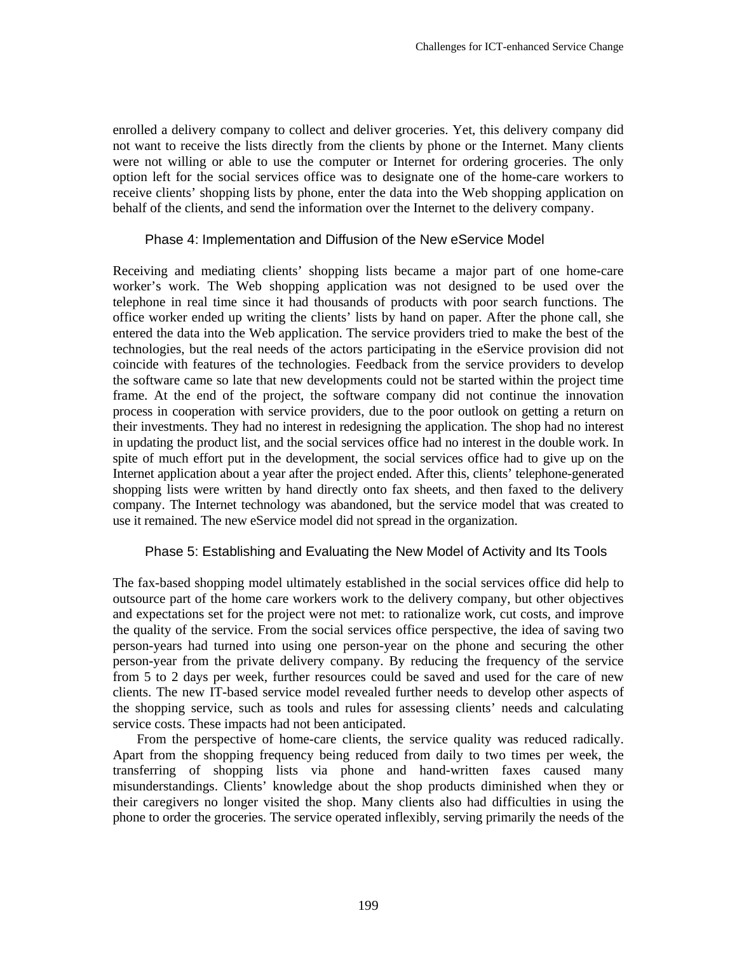enrolled a delivery company to collect and deliver groceries. Yet, this delivery company did not want to receive the lists directly from the clients by phone or the Internet. Many clients were not willing or able to use the computer or Internet for ordering groceries. The only option left for the social services office was to designate one of the home-care workers to receive clients' shopping lists by phone, enter the data into the Web shopping application on behalf of the clients, and send the information over the Internet to the delivery company.

### Phase 4: Implementation and Diffusion of the New eService Model

Receiving and mediating clients' shopping lists became a major part of one home-care worker's work. The Web shopping application was not designed to be used over the telephone in real time since it had thousands of products with poor search functions. The office worker ended up writing the clients' lists by hand on paper. After the phone call, she entered the data into the Web application. The service providers tried to make the best of the technologies, but the real needs of the actors participating in the eService provision did not coincide with features of the technologies. Feedback from the service providers to develop the software came so late that new developments could not be started within the project time frame. At the end of the project, the software company did not continue the innovation process in cooperation with service providers, due to the poor outlook on getting a return on their investments. They had no interest in redesigning the application. The shop had no interest in updating the product list, and the social services office had no interest in the double work. In spite of much effort put in the development, the social services office had to give up on the Internet application about a year after the project ended. After this, clients' telephone-generated shopping lists were written by hand directly onto fax sheets, and then faxed to the delivery company. The Internet technology was abandoned, but the service model that was created to use it remained. The new eService model did not spread in the organization.

### Phase 5: Establishing and Evaluating the New Model of Activity and Its Tools

The fax-based shopping model ultimately established in the social services office did help to outsource part of the home care workers work to the delivery company, but other objectives and expectations set for the project were not met: to rationalize work, cut costs, and improve the quality of the service. From the social services office perspective, the idea of saving two person-years had turned into using one person-year on the phone and securing the other person-year from the private delivery company. By reducing the frequency of the service from 5 to 2 days per week, further resources could be saved and used for the care of new clients. The new IT-based service model revealed further needs to develop other aspects of the shopping service, such as tools and rules for assessing clients' needs and calculating service costs. These impacts had not been anticipated.

From the perspective of home-care clients, the service quality was reduced radically. Apart from the shopping frequency being reduced from daily to two times per week, the transferring of shopping lists via phone and hand-written faxes caused many misunderstandings. Clients' knowledge about the shop products diminished when they or their caregivers no longer visited the shop. Many clients also had difficulties in using the phone to order the groceries. The service operated inflexibly, serving primarily the needs of the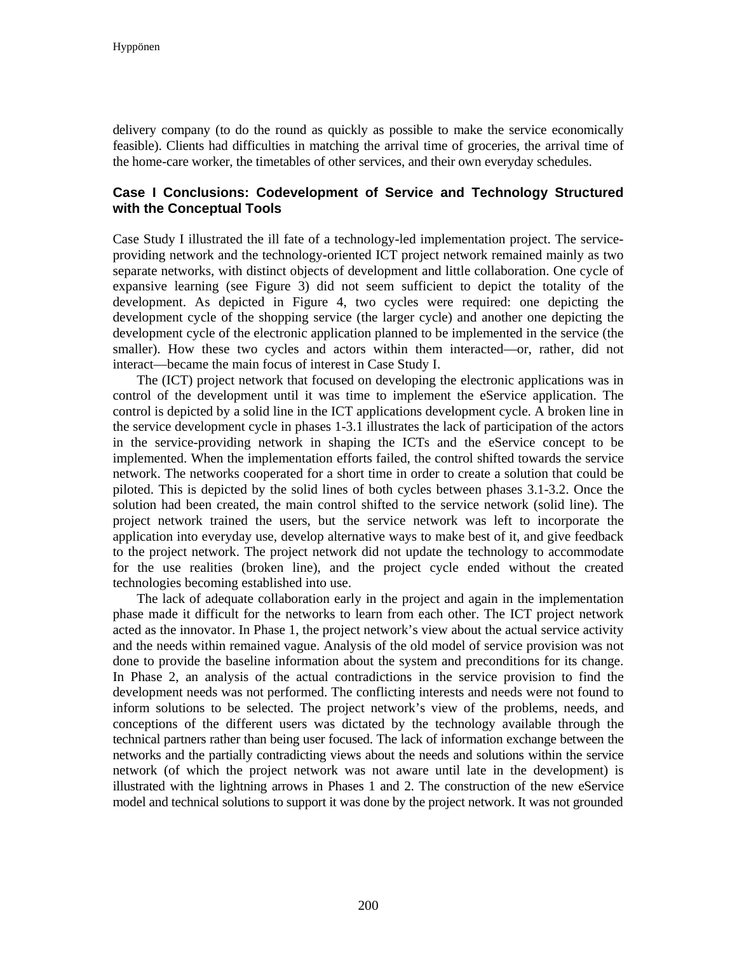delivery company (to do the round as quickly as possible to make the service economically feasible). Clients had difficulties in matching the arrival time of groceries, the arrival time of the home-care worker, the timetables of other services, and their own everyday schedules.

# **Case I Conclusions: Codevelopment of Service and Technology Structured with the Conceptual Tools**

Case Study I illustrated the ill fate of a technology-led implementation project. The serviceproviding network and the technology-oriented ICT project network remained mainly as two separate networks, with distinct objects of development and little collaboration. One cycle of expansive learning (see Figure 3) did not seem sufficient to depict the totality of the development. As depicted in Figure 4, two cycles were required: one depicting the development cycle of the shopping service (the larger cycle) and another one depicting the development cycle of the electronic application planned to be implemented in the service (the smaller). How these two cycles and actors within them interacted—or, rather, did not interact—became the main focus of interest in Case Study I.

The (ICT) project network that focused on developing the electronic applications was in control of the development until it was time to implement the eService application. The control is depicted by a solid line in the ICT applications development cycle. A broken line in the service development cycle in phases 1-3.1 illustrates the lack of participation of the actors in the service-providing network in shaping the ICTs and the eService concept to be implemented. When the implementation efforts failed, the control shifted towards the service network. The networks cooperated for a short time in order to create a solution that could be piloted. This is depicted by the solid lines of both cycles between phases 3.1-3.2. Once the solution had been created, the main control shifted to the service network (solid line). The project network trained the users, but the service network was left to incorporate the application into everyday use, develop alternative ways to make best of it, and give feedback to the project network. The project network did not update the technology to accommodate for the use realities (broken line), and the project cycle ended without the created technologies becoming established into use.

The lack of adequate collaboration early in the project and again in the implementation phase made it difficult for the networks to learn from each other. The ICT project network acted as the innovator. In Phase 1, the project network's view about the actual service activity and the needs within remained vague. Analysis of the old model of service provision was not done to provide the baseline information about the system and preconditions for its change. In Phase 2, an analysis of the actual contradictions in the service provision to find the development needs was not performed. The conflicting interests and needs were not found to inform solutions to be selected. The project network's view of the problems, needs, and conceptions of the different users was dictated by the technology available through the technical partners rather than being user focused. The lack of information exchange between the networks and the partially contradicting views about the needs and solutions within the service network (of which the project network was not aware until late in the development) is illustrated with the lightning arrows in Phases 1 and 2. The construction of the new eService model and technical solutions to support it was done by the project network. It was not grounded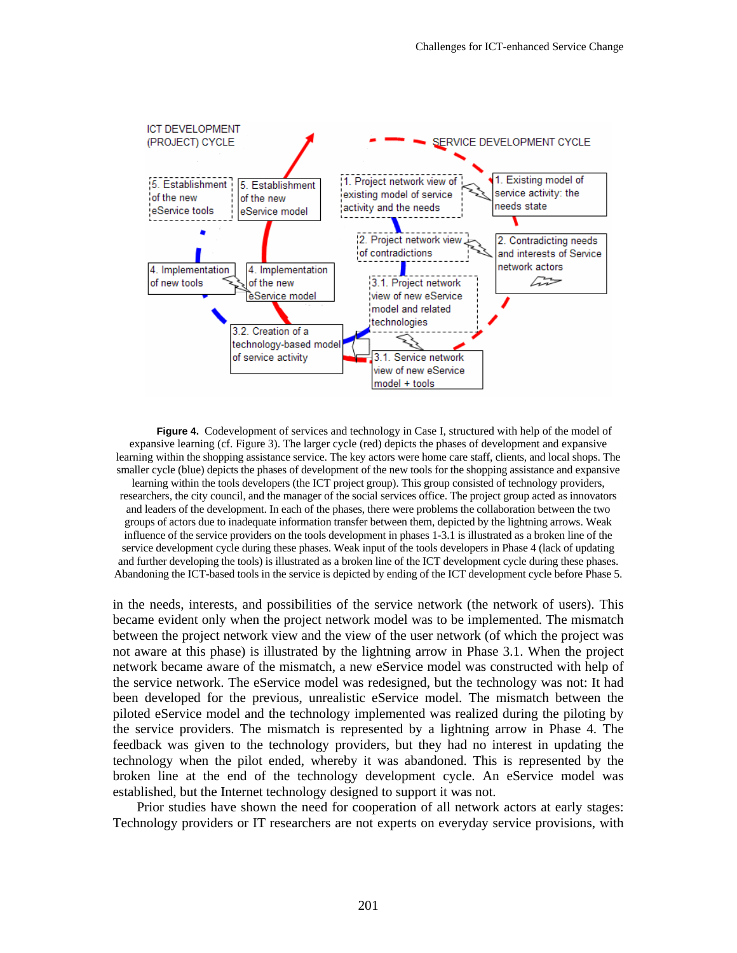

**Figure 4.** Codevelopment of services and technology in Case I, structured with help of the model of expansive learning (cf. Figure 3). The larger cycle (red) depicts the phases of development and expansive learning within the shopping assistance service. The key actors were home care staff, clients, and local shops. The smaller cycle (blue) depicts the phases of development of the new tools for the shopping assistance and expansive learning within the tools developers (the ICT project group). This group consisted of technology providers, researchers, the city council, and the manager of the social services office. The project group acted as innovators and leaders of the development. In each of the phases, there were problems the collaboration between the two groups of actors due to inadequate information transfer between them, depicted by the lightning arrows. Weak influence of the service providers on the tools development in phases 1-3.1 is illustrated as a broken line of the service development cycle during these phases. Weak input of the tools developers in Phase 4 (lack of updating and further developing the tools) is illustrated as a broken line of the ICT development cycle during these phases. Abandoning the ICT-based tools in the service is depicted by ending of the ICT development cycle before Phase 5.

in the needs, interests, and possibilities of the service network (the network of users). This became evident only when the project network model was to be implemented. The mismatch between the project network view and the view of the user network (of which the project was not aware at this phase) is illustrated by the lightning arrow in Phase 3.1. When the project network became aware of the mismatch, a new eService model was constructed with help of the service network. The eService model was redesigned, but the technology was not: It had been developed for the previous, unrealistic eService model. The mismatch between the piloted eService model and the technology implemented was realized during the piloting by the service providers. The mismatch is represented by a lightning arrow in Phase 4. The feedback was given to the technology providers, but they had no interest in updating the technology when the pilot ended, whereby it was abandoned. This is represented by the broken line at the end of the technology development cycle. An eService model was established, but the Internet technology designed to support it was not.

Prior studies have shown the need for cooperation of all network actors at early stages: Technology providers or IT researchers are not experts on everyday service provisions, with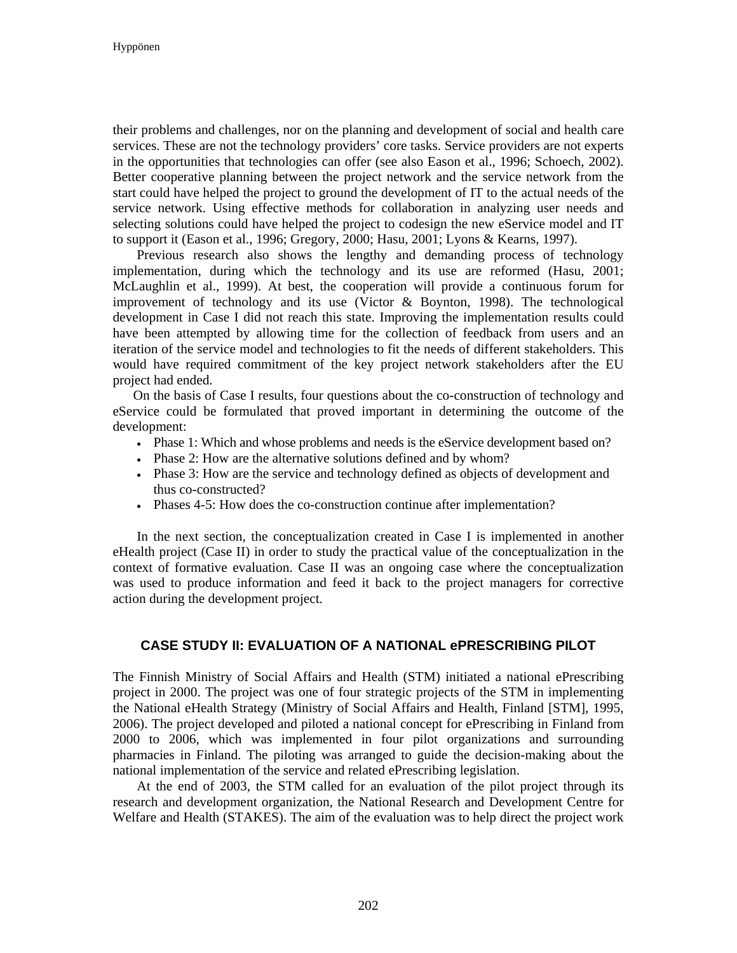their problems and challenges, nor on the planning and development of social and health care services. These are not the technology providers' core tasks. Service providers are not experts in the opportunities that technologies can offer (see also Eason et al., 1996; Schoech, 2002). Better cooperative planning between the project network and the service network from the start could have helped the project to ground the development of IT to the actual needs of the service network. Using effective methods for collaboration in analyzing user needs and selecting solutions could have helped the project to codesign the new eService model and IT to support it (Eason et al., 1996; Gregory, 2000; Hasu, 2001; Lyons & Kearns, 1997).

Previous research also shows the lengthy and demanding process of technology implementation, during which the technology and its use are reformed (Hasu, 2001; McLaughlin et al., 1999). At best, the cooperation will provide a continuous forum for improvement of technology and its use (Victor & Boynton, 1998). The technological development in Case I did not reach this state. Improving the implementation results could have been attempted by allowing time for the collection of feedback from users and an iteration of the service model and technologies to fit the needs of different stakeholders. This would have required commitment of the key project network stakeholders after the EU project had ended.

On the basis of Case I results, four questions about the co-construction of technology and eService could be formulated that proved important in determining the outcome of the development:

- Phase 1: Which and whose problems and needs is the eService development based on?
- Phase 2: How are the alternative solutions defined and by whom?
- Phase 3: How are the service and technology defined as objects of development and thus co-constructed?
- Phases 4-5: How does the co-construction continue after implementation?

In the next section, the conceptualization created in Case I is implemented in another eHealth project (Case II) in order to study the practical value of the conceptualization in the context of formative evaluation. Case II was an ongoing case where the conceptualization was used to produce information and feed it back to the project managers for corrective action during the development project.

# **CASE STUDY II: EVALUATION OF A NATIONAL ePRESCRIBING PILOT**

The Finnish Ministry of Social Affairs and Health (STM) initiated a national ePrescribing project in 2000. The project was one of four strategic projects of the STM in implementing the National eHealth Strategy (Ministry of Social Affairs and Health, Finland [STM], 1995, 2006). The project developed and piloted a national concept for ePrescribing in Finland from 2000 to 2006, which was implemented in four pilot organizations and surrounding pharmacies in Finland. The piloting was arranged to guide the decision-making about the national implementation of the service and related ePrescribing legislation.

At the end of 2003, the STM called for an evaluation of the pilot project through its research and development organization, the National Research and Development Centre for Welfare and Health (STAKES). The aim of the evaluation was to help direct the project work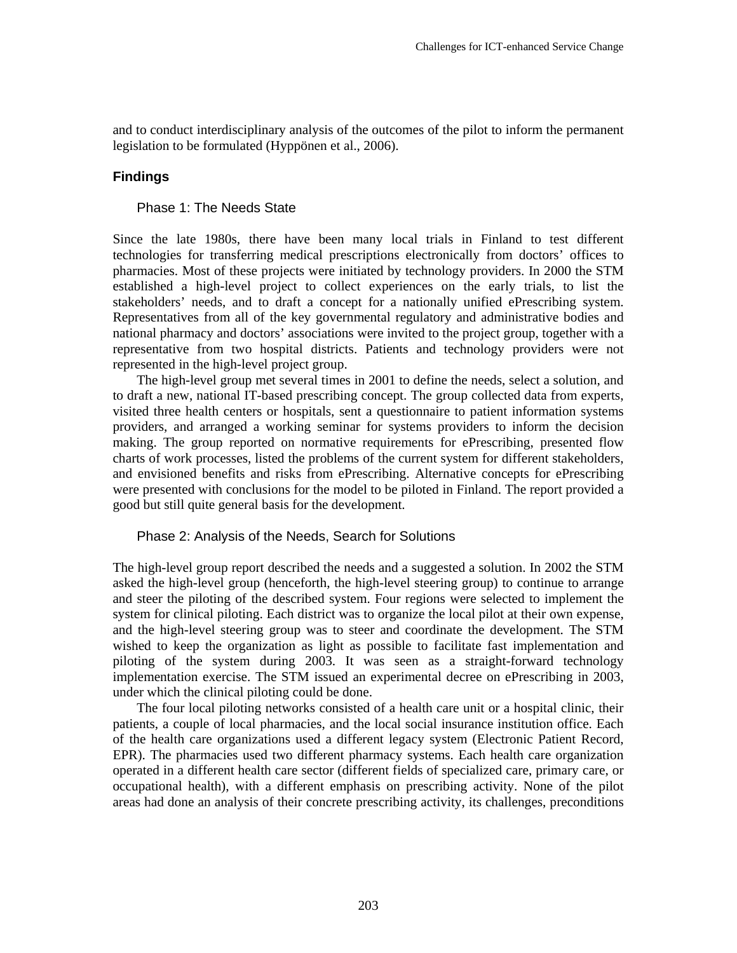and to conduct interdisciplinary analysis of the outcomes of the pilot to inform the permanent legislation to be formulated (Hyppönen et al., 2006).

### **Findings**

### Phase 1: The Needs State

Since the late 1980s, there have been many local trials in Finland to test different technologies for transferring medical prescriptions electronically from doctors' offices to pharmacies. Most of these projects were initiated by technology providers. In 2000 the STM established a high-level project to collect experiences on the early trials, to list the stakeholders' needs, and to draft a concept for a nationally unified ePrescribing system. Representatives from all of the key governmental regulatory and administrative bodies and national pharmacy and doctors' associations were invited to the project group, together with a representative from two hospital districts. Patients and technology providers were not represented in the high-level project group.

The high-level group met several times in 2001 to define the needs, select a solution, and to draft a new, national IT-based prescribing concept. The group collected data from experts, visited three health centers or hospitals, sent a questionnaire to patient information systems providers, and arranged a working seminar for systems providers to inform the decision making. The group reported on normative requirements for ePrescribing, presented flow charts of work processes, listed the problems of the current system for different stakeholders, and envisioned benefits and risks from ePrescribing. Alternative concepts for ePrescribing were presented with conclusions for the model to be piloted in Finland. The report provided a good but still quite general basis for the development.

### Phase 2: Analysis of the Needs, Search for Solutions

The high-level group report described the needs and a suggested a solution. In 2002 the STM asked the high-level group (henceforth, the high-level steering group) to continue to arrange and steer the piloting of the described system. Four regions were selected to implement the system for clinical piloting. Each district was to organize the local pilot at their own expense, and the high-level steering group was to steer and coordinate the development. The STM wished to keep the organization as light as possible to facilitate fast implementation and piloting of the system during 2003. It was seen as a straight-forward technology implementation exercise. The STM issued an experimental decree on ePrescribing in 2003, under which the clinical piloting could be done.

The four local piloting networks consisted of a health care unit or a hospital clinic, their patients, a couple of local pharmacies, and the local social insurance institution office. Each of the health care organizations used a different legacy system (Electronic Patient Record, EPR). The pharmacies used two different pharmacy systems. Each health care organization operated in a different health care sector (different fields of specialized care, primary care, or occupational health), with a different emphasis on prescribing activity. None of the pilot areas had done an analysis of their concrete prescribing activity, its challenges, preconditions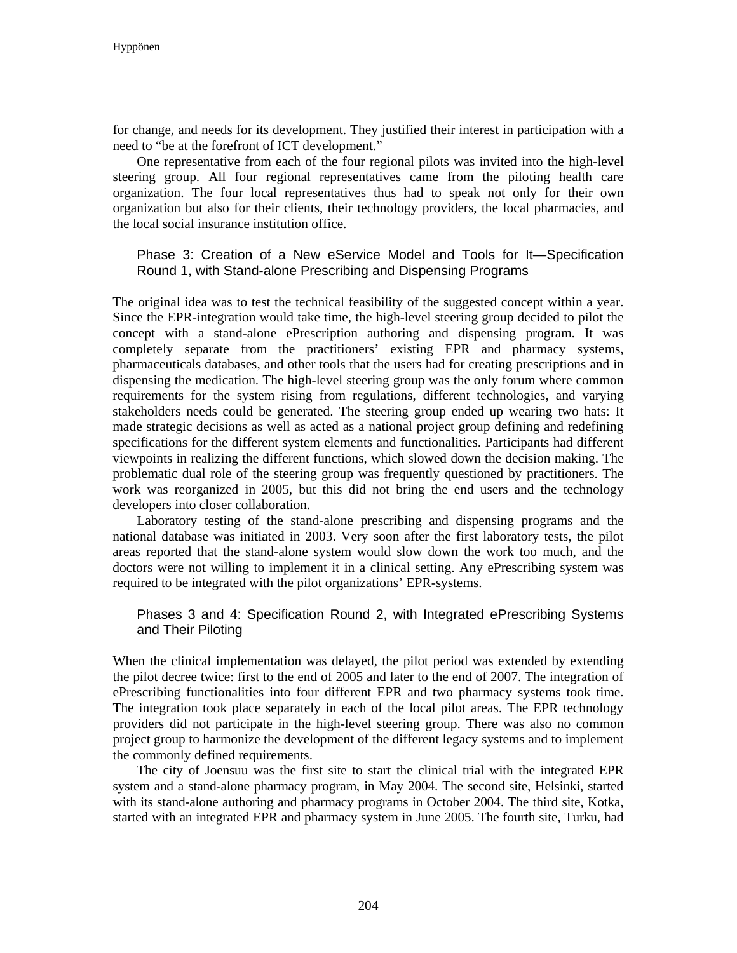for change, and needs for its development. They justified their interest in participation with a need to "be at the forefront of ICT development."

One representative from each of the four regional pilots was invited into the high-level steering group. All four regional representatives came from the piloting health care organization. The four local representatives thus had to speak not only for their own organization but also for their clients, their technology providers, the local pharmacies, and the local social insurance institution office.

### Phase 3: Creation of a New eService Model and Tools for It—Specification Round 1, with Stand-alone Prescribing and Dispensing Programs

The original idea was to test the technical feasibility of the suggested concept within a year. Since the EPR-integration would take time, the high-level steering group decided to pilot the concept with a stand-alone ePrescription authoring and dispensing program. It was completely separate from the practitioners' existing EPR and pharmacy systems, pharmaceuticals databases, and other tools that the users had for creating prescriptions and in dispensing the medication. The high-level steering group was the only forum where common requirements for the system rising from regulations, different technologies, and varying stakeholders needs could be generated. The steering group ended up wearing two hats: It made strategic decisions as well as acted as a national project group defining and redefining specifications for the different system elements and functionalities. Participants had different viewpoints in realizing the different functions, which slowed down the decision making. The problematic dual role of the steering group was frequently questioned by practitioners. The work was reorganized in 2005, but this did not bring the end users and the technology developers into closer collaboration.

Laboratory testing of the stand-alone prescribing and dispensing programs and the national database was initiated in 2003. Very soon after the first laboratory tests, the pilot areas reported that the stand-alone system would slow down the work too much, and the doctors were not willing to implement it in a clinical setting. Any ePrescribing system was required to be integrated with the pilot organizations' EPR-systems.

# Phases 3 and 4: Specification Round 2, with Integrated ePrescribing Systems and Their Piloting

When the clinical implementation was delayed, the pilot period was extended by extending the pilot decree twice: first to the end of 2005 and later to the end of 2007. The integration of ePrescribing functionalities into four different EPR and two pharmacy systems took time. The integration took place separately in each of the local pilot areas. The EPR technology providers did not participate in the high-level steering group. There was also no common project group to harmonize the development of the different legacy systems and to implement the commonly defined requirements.

The city of Joensuu was the first site to start the clinical trial with the integrated EPR system and a stand-alone pharmacy program, in May 2004. The second site, Helsinki, started with its stand-alone authoring and pharmacy programs in October 2004. The third site, Kotka, started with an integrated EPR and pharmacy system in June 2005. The fourth site, Turku, had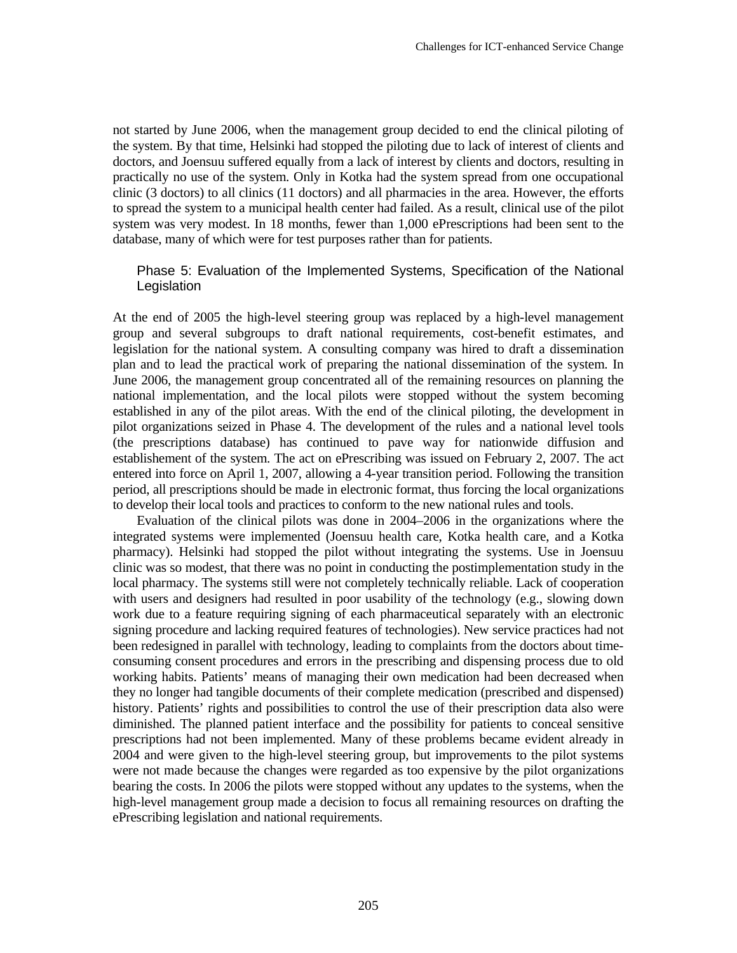not started by June 2006, when the management group decided to end the clinical piloting of the system. By that time, Helsinki had stopped the piloting due to lack of interest of clients and doctors, and Joensuu suffered equally from a lack of interest by clients and doctors, resulting in practically no use of the system. Only in Kotka had the system spread from one occupational clinic (3 doctors) to all clinics (11 doctors) and all pharmacies in the area. However, the efforts to spread the system to a municipal health center had failed. As a result, clinical use of the pilot system was very modest. In 18 months, fewer than 1,000 ePrescriptions had been sent to the database, many of which were for test purposes rather than for patients.

### Phase 5: Evaluation of the Implemented Systems, Specification of the National Legislation

At the end of 2005 the high-level steering group was replaced by a high-level management group and several subgroups to draft national requirements, cost-benefit estimates, and legislation for the national system. A consulting company was hired to draft a dissemination plan and to lead the practical work of preparing the national dissemination of the system. In June 2006, the management group concentrated all of the remaining resources on planning the national implementation, and the local pilots were stopped without the system becoming established in any of the pilot areas. With the end of the clinical piloting, the development in pilot organizations seized in Phase 4. The development of the rules and a national level tools (the prescriptions database) has continued to pave way for nationwide diffusion and establishement of the system. The act on ePrescribing was issued on February 2, 2007. The act entered into force on April 1, 2007, allowing a 4-year transition period. Following the transition period, all prescriptions should be made in electronic format, thus forcing the local organizations to develop their local tools and practices to conform to the new national rules and tools.

Evaluation of the clinical pilots was done in 2004–2006 in the organizations where the integrated systems were implemented (Joensuu health care, Kotka health care, and a Kotka pharmacy). Helsinki had stopped the pilot without integrating the systems. Use in Joensuu clinic was so modest, that there was no point in conducting the postimplementation study in the local pharmacy. The systems still were not completely technically reliable. Lack of cooperation with users and designers had resulted in poor usability of the technology (e.g., slowing down work due to a feature requiring signing of each pharmaceutical separately with an electronic signing procedure and lacking required features of technologies). New service practices had not been redesigned in parallel with technology, leading to complaints from the doctors about timeconsuming consent procedures and errors in the prescribing and dispensing process due to old working habits. Patients' means of managing their own medication had been decreased when they no longer had tangible documents of their complete medication (prescribed and dispensed) history. Patients' rights and possibilities to control the use of their prescription data also were diminished. The planned patient interface and the possibility for patients to conceal sensitive prescriptions had not been implemented. Many of these problems became evident already in 2004 and were given to the high-level steering group, but improvements to the pilot systems were not made because the changes were regarded as too expensive by the pilot organizations bearing the costs. In 2006 the pilots were stopped without any updates to the systems, when the high-level management group made a decision to focus all remaining resources on drafting the ePrescribing legislation and national requirements.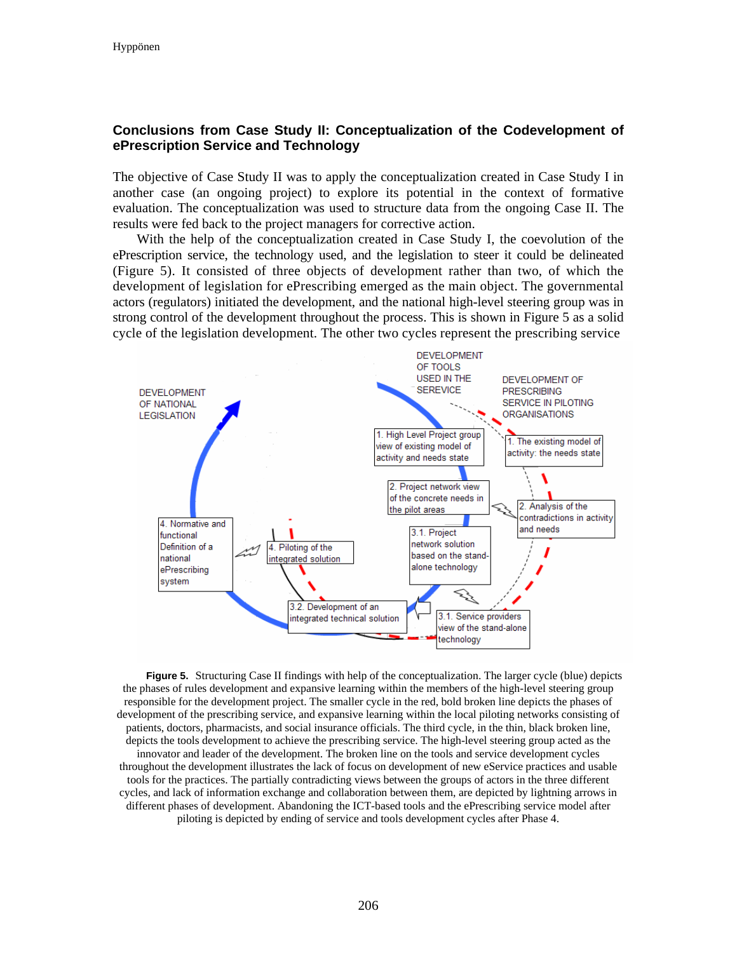# **Conclusions from Case Study II: Conceptualization of the Codevelopment of ePrescription Service and Technology**

The objective of Case Study II was to apply the conceptualization created in Case Study I in another case (an ongoing project) to explore its potential in the context of formative evaluation. The conceptualization was used to structure data from the ongoing Case II. The results were fed back to the project managers for corrective action.

With the help of the conceptualization created in Case Study I, the coevolution of the ePrescription service, the technology used, and the legislation to steer it could be delineated (Figure 5). It consisted of three objects of development rather than two, of which the development of legislation for ePrescribing emerged as the main object. The governmental actors (regulators) initiated the development, and the national high-level steering group was in strong control of the development throughout the process. This is shown in Figure 5 as a solid cycle of the legislation development. The other two cycles represent the prescribing service



**Figure 5.** Structuring Case II findings with help of the conceptualization. The larger cycle (blue) depicts the phases of rules development and expansive learning within the members of the high-level steering group responsible for the development project. The smaller cycle in the red, bold broken line depicts the phases of development of the prescribing service, and expansive learning within the local piloting networks consisting of patients, doctors, pharmacists, and social insurance officials. The third cycle, in the thin, black broken line, depicts the tools development to achieve the prescribing service. The high-level steering group acted as the innovator and leader of the development. The broken line on the tools and service development cycles throughout the development illustrates the lack of focus on development of new eService practices and usable tools for the practices. The partially contradicting views between the groups of actors in the three different cycles, and lack of information exchange and collaboration between them, are depicted by lightning arrows in different phases of development. Abandoning the ICT-based tools and the ePrescribing service model after piloting is depicted by ending of service and tools development cycles after Phase 4.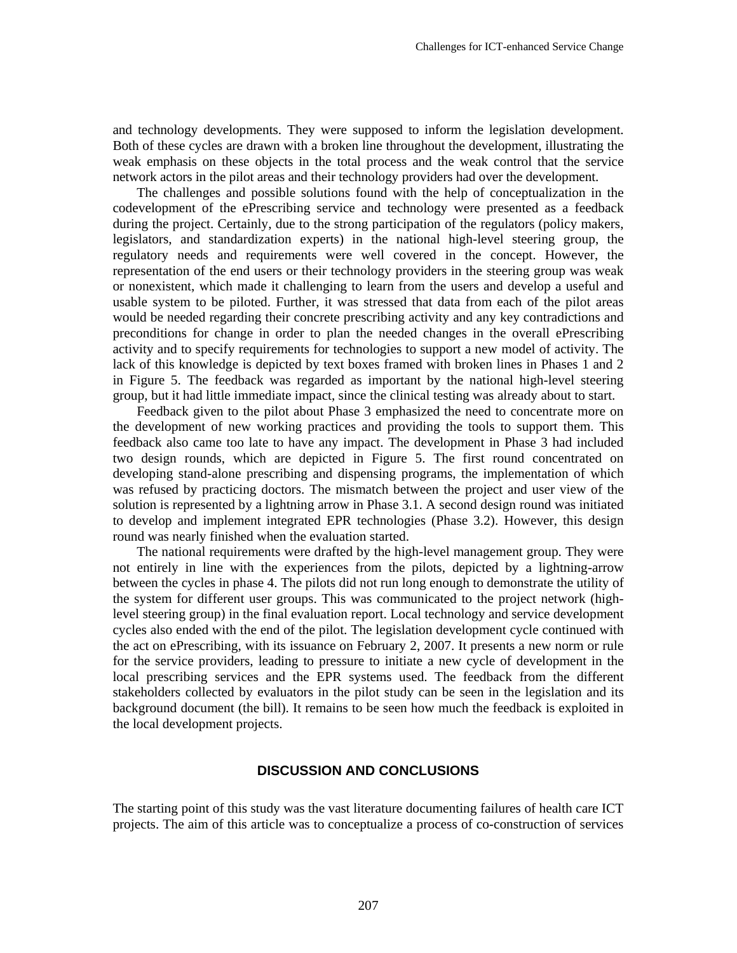and technology developments. They were supposed to inform the legislation development. Both of these cycles are drawn with a broken line throughout the development, illustrating the weak emphasis on these objects in the total process and the weak control that the service network actors in the pilot areas and their technology providers had over the development.

The challenges and possible solutions found with the help of conceptualization in the codevelopment of the ePrescribing service and technology were presented as a feedback during the project. Certainly, due to the strong participation of the regulators (policy makers, legislators, and standardization experts) in the national high-level steering group, the regulatory needs and requirements were well covered in the concept. However, the representation of the end users or their technology providers in the steering group was weak or nonexistent, which made it challenging to learn from the users and develop a useful and usable system to be piloted. Further, it was stressed that data from each of the pilot areas would be needed regarding their concrete prescribing activity and any key contradictions and preconditions for change in order to plan the needed changes in the overall ePrescribing activity and to specify requirements for technologies to support a new model of activity. The lack of this knowledge is depicted by text boxes framed with broken lines in Phases 1 and 2 in Figure 5. The feedback was regarded as important by the national high-level steering group, but it had little immediate impact, since the clinical testing was already about to start.

Feedback given to the pilot about Phase 3 emphasized the need to concentrate more on the development of new working practices and providing the tools to support them. This feedback also came too late to have any impact. The development in Phase 3 had included two design rounds, which are depicted in Figure 5. The first round concentrated on developing stand-alone prescribing and dispensing programs, the implementation of which was refused by practicing doctors. The mismatch between the project and user view of the solution is represented by a lightning arrow in Phase 3.1. A second design round was initiated to develop and implement integrated EPR technologies (Phase 3.2). However, this design round was nearly finished when the evaluation started.

The national requirements were drafted by the high-level management group. They were not entirely in line with the experiences from the pilots, depicted by a lightning-arrow between the cycles in phase 4. The pilots did not run long enough to demonstrate the utility of the system for different user groups. This was communicated to the project network (highlevel steering group) in the final evaluation report. Local technology and service development cycles also ended with the end of the pilot. The legislation development cycle continued with the act on ePrescribing, with its issuance on February 2, 2007. It presents a new norm or rule for the service providers, leading to pressure to initiate a new cycle of development in the local prescribing services and the EPR systems used. The feedback from the different stakeholders collected by evaluators in the pilot study can be seen in the legislation and its background document (the bill). It remains to be seen how much the feedback is exploited in the local development projects.

### **DISCUSSION AND CONCLUSIONS**

The starting point of this study was the vast literature documenting failures of health care ICT projects. The aim of this article was to conceptualize a process of co-construction of services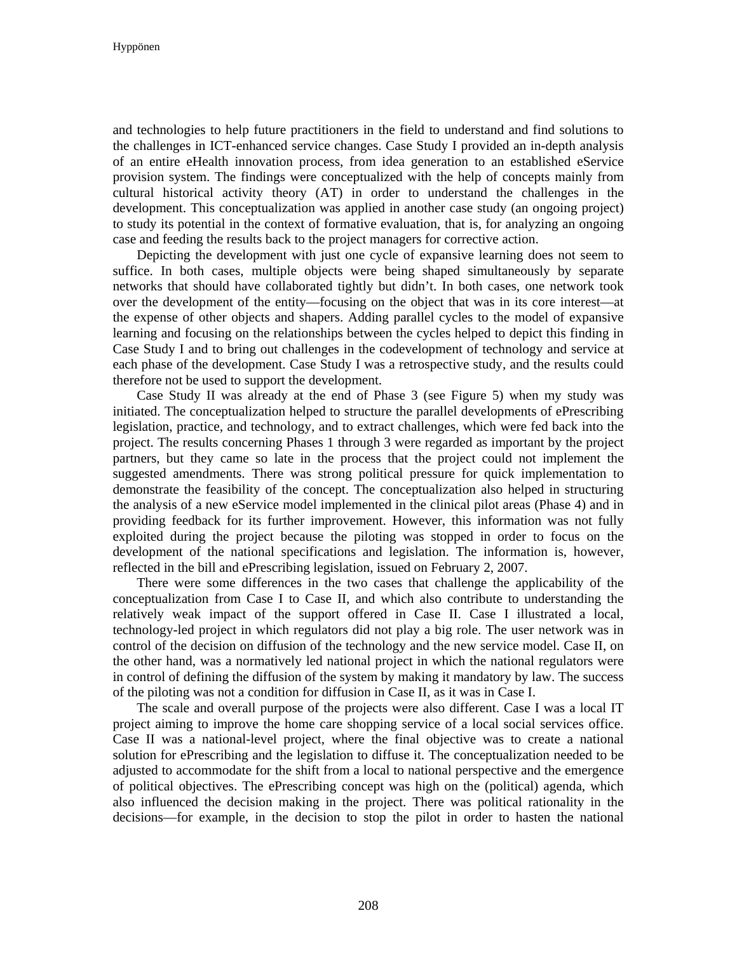and technologies to help future practitioners in the field to understand and find solutions to the challenges in ICT-enhanced service changes. Case Study I provided an in-depth analysis of an entire eHealth innovation process, from idea generation to an established eService provision system. The findings were conceptualized with the help of concepts mainly from cultural historical activity theory (AT) in order to understand the challenges in the development. This conceptualization was applied in another case study (an ongoing project) to study its potential in the context of formative evaluation, that is, for analyzing an ongoing case and feeding the results back to the project managers for corrective action.

Depicting the development with just one cycle of expansive learning does not seem to suffice. In both cases, multiple objects were being shaped simultaneously by separate networks that should have collaborated tightly but didn't. In both cases, one network took over the development of the entity—focusing on the object that was in its core interest—at the expense of other objects and shapers. Adding parallel cycles to the model of expansive learning and focusing on the relationships between the cycles helped to depict this finding in Case Study I and to bring out challenges in the codevelopment of technology and service at each phase of the development. Case Study I was a retrospective study, and the results could therefore not be used to support the development.

Case Study II was already at the end of Phase 3 (see Figure 5) when my study was initiated. The conceptualization helped to structure the parallel developments of ePrescribing legislation, practice, and technology, and to extract challenges, which were fed back into the project. The results concerning Phases 1 through 3 were regarded as important by the project partners, but they came so late in the process that the project could not implement the suggested amendments. There was strong political pressure for quick implementation to demonstrate the feasibility of the concept. The conceptualization also helped in structuring the analysis of a new eService model implemented in the clinical pilot areas (Phase 4) and in providing feedback for its further improvement. However, this information was not fully exploited during the project because the piloting was stopped in order to focus on the development of the national specifications and legislation. The information is, however, reflected in the bill and ePrescribing legislation, issued on February 2, 2007.

There were some differences in the two cases that challenge the applicability of the conceptualization from Case I to Case II, and which also contribute to understanding the relatively weak impact of the support offered in Case II. Case I illustrated a local, technology-led project in which regulators did not play a big role. The user network was in control of the decision on diffusion of the technology and the new service model. Case II, on the other hand, was a normatively led national project in which the national regulators were in control of defining the diffusion of the system by making it mandatory by law. The success of the piloting was not a condition for diffusion in Case II, as it was in Case I.

The scale and overall purpose of the projects were also different. Case I was a local IT project aiming to improve the home care shopping service of a local social services office. Case II was a national-level project, where the final objective was to create a national solution for ePrescribing and the legislation to diffuse it. The conceptualization needed to be adjusted to accommodate for the shift from a local to national perspective and the emergence of political objectives. The ePrescribing concept was high on the (political) agenda, which also influenced the decision making in the project. There was political rationality in the decisions—for example, in the decision to stop the pilot in order to hasten the national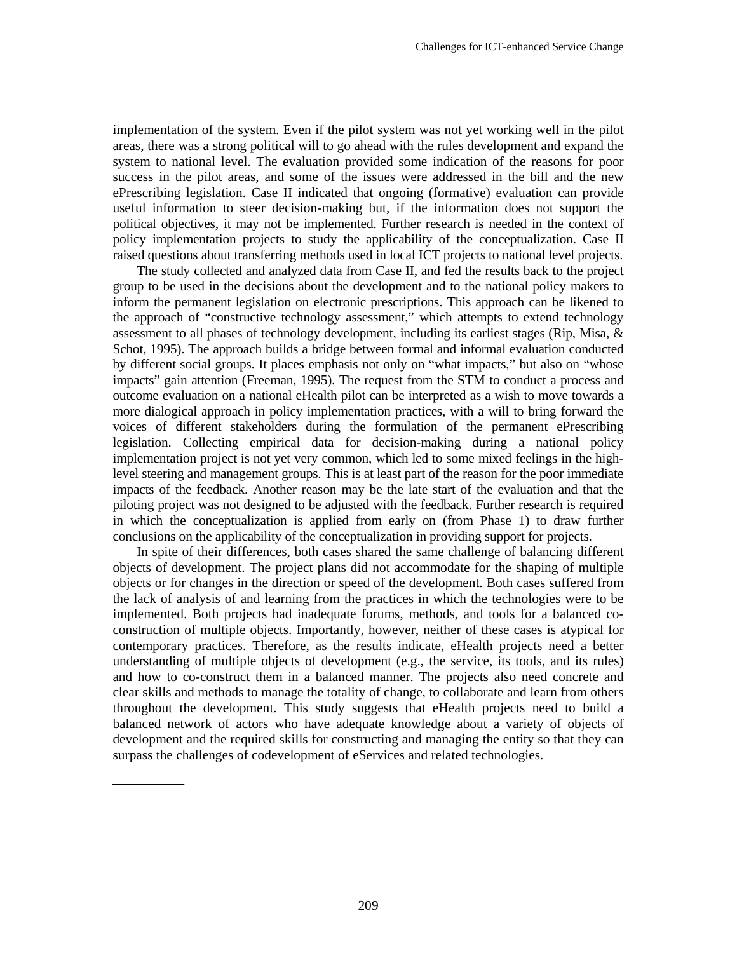implementation of the system. Even if the pilot system was not yet working well in the pilot areas, there was a strong political will to go ahead with the rules development and expand the system to national level. The evaluation provided some indication of the reasons for poor success in the pilot areas, and some of the issues were addressed in the bill and the new ePrescribing legislation. Case II indicated that ongoing (formative) evaluation can provide useful information to steer decision-making but, if the information does not support the political objectives, it may not be implemented. Further research is needed in the context of policy implementation projects to study the applicability of the conceptualization. Case II raised questions about transferring methods used in local ICT projects to national level projects.

The study collected and analyzed data from Case II, and fed the results back to the project group to be used in the decisions about the development and to the national policy makers to inform the permanent legislation on electronic prescriptions. This approach can be likened to the approach of "constructive technology assessment," which attempts to extend technology assessment to all phases of technology development, including its earliest stages (Rip, Misa, & Schot, 1995). The approach builds a bridge between formal and informal evaluation conducted by different social groups. It places emphasis not only on "what impacts," but also on "whose impacts" gain attention (Freeman, 1995). The request from the STM to conduct a process and outcome evaluation on a national eHealth pilot can be interpreted as a wish to move towards a more dialogical approach in policy implementation practices, with a will to bring forward the voices of different stakeholders during the formulation of the permanent ePrescribing legislation. Collecting empirical data for decision-making during a national policy implementation project is not yet very common, which led to some mixed feelings in the highlevel steering and management groups. This is at least part of the reason for the poor immediate impacts of the feedback. Another reason may be the late start of the evaluation and that the piloting project was not designed to be adjusted with the feedback. Further research is required in which the conceptualization is applied from early on (from Phase 1) to draw further conclusions on the applicability of the conceptualization in providing support for projects.

In spite of their differences, both cases shared the same challenge of balancing different objects of development. The project plans did not accommodate for the shaping of multiple objects or for changes in the direction or speed of the development. Both cases suffered from the lack of analysis of and learning from the practices in which the technologies were to be implemented. Both projects had inadequate forums, methods, and tools for a balanced coconstruction of multiple objects. Importantly, however, neither of these cases is atypical for contemporary practices. Therefore, as the results indicate, eHealth projects need a better understanding of multiple objects of development (e.g., the service, its tools, and its rules) and how to co-construct them in a balanced manner. The projects also need concrete and clear skills and methods to manage the totality of change, to collaborate and learn from others throughout the development. This study suggests that eHealth projects need to build a balanced network of actors who have adequate knowledge about a variety of objects of development and the required skills for constructing and managing the entity so that they can surpass the challenges of codevelopment of eServices and related technologies.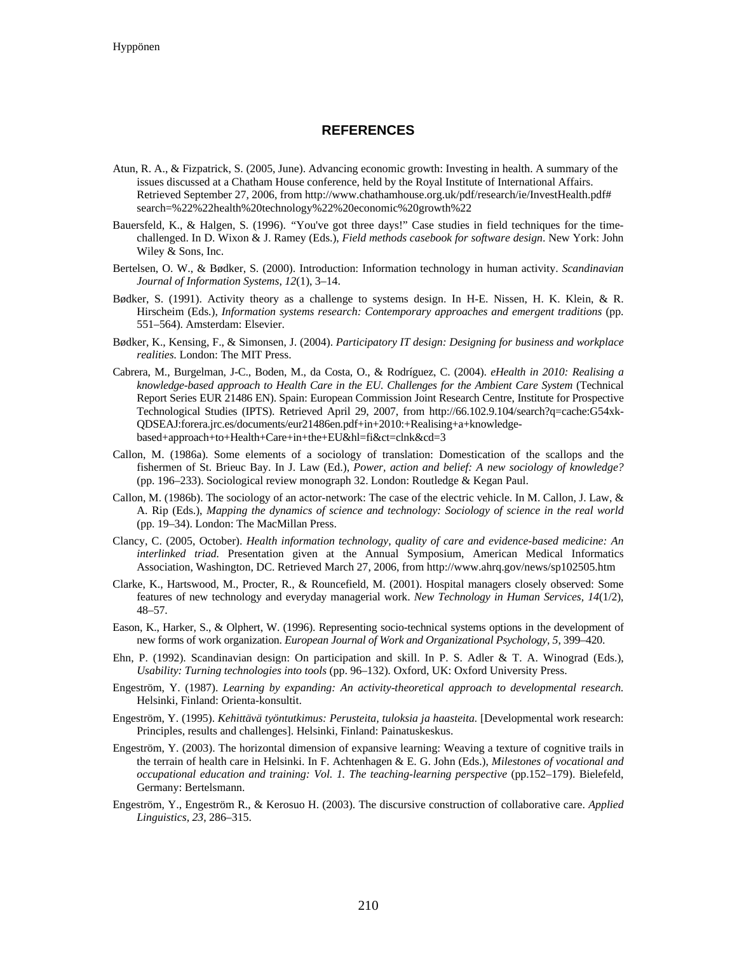#### **REFERENCES**

- Atun, R. A., & Fizpatrick, S. (2005, June). Advancing economic growth: Investing in health. A summary of the issues discussed at a Chatham House conference, held by the Royal Institute of International Affairs. Retrieved September 27, 2006, from http://www.chathamhouse.org.uk/pdf/research/ie/InvestHealth.pdf# search=%22%22health%20technology%22%20economic%20growth%22
- Bauersfeld, K., & Halgen, S. (1996). *"*You've got three days!" Case studies in field techniques for the timechallenged. In D. Wixon & J. Ramey (Eds.), *Field methods casebook for software design*. New York: John Wiley & Sons, Inc.
- Bertelsen, O. W., & Bødker, S. (2000). Introduction: Information technology in human activity. *Scandinavian Journal of Information Systems*, *12*(1), 3–14.
- Bødker, S. (1991). Activity theory as a challenge to systems design. In H-E. Nissen, H. K. Klein, & R. Hirscheim (Eds.), *Information systems research: Contemporary approaches and emergent traditions* (pp. 551–564). Amsterdam: Elsevier.
- Bødker, K., Kensing, F., & Simonsen, J. (2004). *Participatory IT design: Designing for business and workplace realities.* London: The MIT Press.
- Cabrera, M., Burgelman, J-C., Boden, M., da Costa, O., & Rodríguez, C. (2004). *eHealth in 2010: Realising a knowledge-based approach to Health Care in the EU. Challenges for the Ambient Care System* (Technical Report Series EUR 21486 EN). Spain: European Commission Joint Research Centre, Institute for Prospective Technological Studies (IPTS). Retrieved April 29, 2007, from http://66.102.9.104/search?q=cache:G54xk-QDSEAJ:forera.jrc.es/documents/eur21486en.pdf+in+2010:+Realising+a+knowledgebased+approach+to+Health+Care+in+the+EU&hl=fi&ct=clnk&cd=3
- Callon, M. (1986a). Some elements of a sociology of translation: Domestication of the scallops and the fishermen of St. Brieuc Bay. In J. Law (Ed.), *Power, action and belief: A new sociology of knowledge?*  (pp. 196–233). Sociological review monograph 32. London: Routledge & Kegan Paul.
- Callon, M. (1986b). The sociology of an actor-network: The case of the electric vehicle. In M. Callon, J. Law, & A. Rip (Eds.), *Mapping the dynamics of science and technology: Sociology of science in the real world*  (pp. 19–34). London: The MacMillan Press.
- Clancy, C. (2005, October). *Health information technology, quality of care and evidence-based medicine: An interlinked triad.* Presentation given at the Annual Symposium, American Medical Informatics Association, Washington, DC. Retrieved March 27, 2006, from http://www.ahrq.gov/news/sp102505.htm
- Clarke, K., Hartswood, M., Procter, R., & Rouncefield, M. (2001). Hospital managers closely observed: Some features of new technology and everyday managerial work. *New Technology in Human Services, 14*(1/2), 48–57.
- Eason, K., Harker, S., & Olphert, W. (1996). Representing socio-technical systems options in the development of new forms of work organization. *European Journal of Work and Organizational Psychology, 5*, 399–420.
- Ehn, P. (1992). Scandinavian design: On participation and skill. In P. S. Adler & T. A. Winograd (Eds.), *Usability: Turning technologies into tools* (pp. 96–132)*.* Oxford, UK: Oxford University Press.
- Engeström, Y. (1987). *Learning by expanding: An activity-theoretical approach to developmental research.*  Helsinki, Finland: Orienta-konsultit.
- Engeström, Y. (1995). *Kehittävä työntutkimus: Perusteita, tuloksia ja haasteita.* [Developmental work research: Principles, results and challenges]. Helsinki, Finland: Painatuskeskus.
- Engeström, Y. (2003). The horizontal dimension of expansive learning: Weaving a texture of cognitive trails in the terrain of health care in Helsinki. In F. Achtenhagen & E. G. John (Eds.), *Milestones of vocational and occupational education and training: Vol. 1. The teaching-learning perspective* (pp.152–179). Bielefeld, Germany: Bertelsmann.
- Engeström, Y., Engeström R., & Kerosuo H. (2003). The discursive construction of collaborative care. *Applied Linguistics, 23*, 286–315.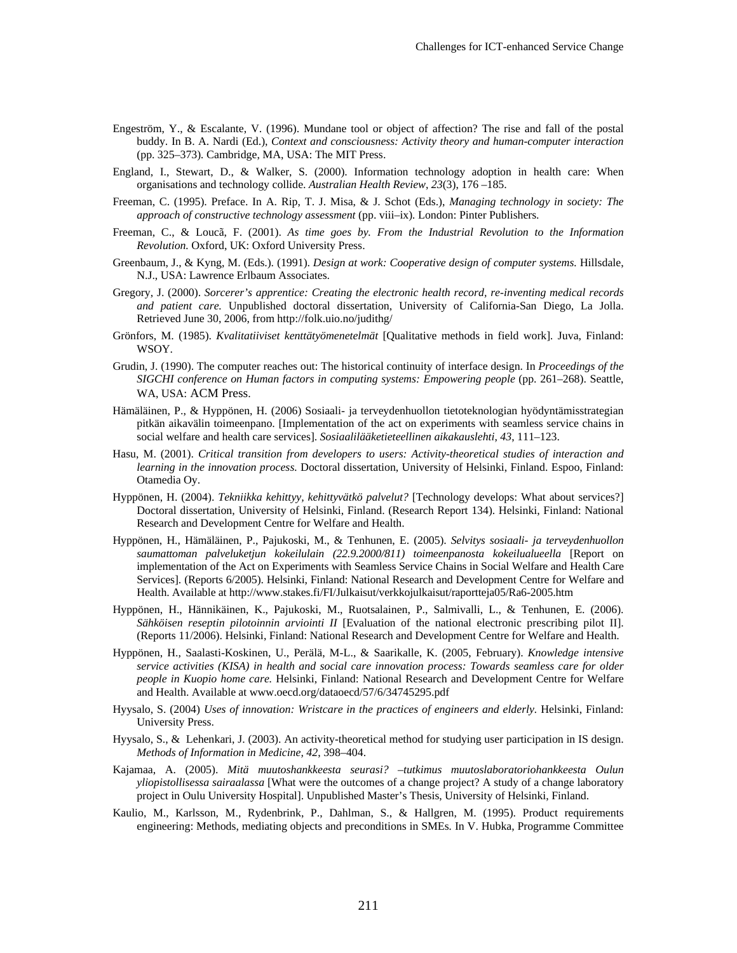- Engeström, Y., & Escalante, V. (1996). Mundane tool or object of affection? The rise and fall of the postal buddy. In B. A. Nardi (Ed.), *Context and consciousness: Activity theory and human-computer interaction* (pp. 325–373)*.* Cambridge, MA, USA: The MIT Press.
- England, I., Stewart, D., & Walker, S. (2000). Information technology adoption in health care: When organisations and technology collide. *Australian Health Review*, *23*(3), 176 –185.
- Freeman, C. (1995). Preface. In A. Rip, T. J. Misa, & J. Schot (Eds.), *Managing technology in society: The approach of constructive technology assessment* (pp. viii–ix)*.* London: Pinter Publishers.
- Freeman, C., & Loucã, F. (2001). *As time goes by. From the Industrial Revolution to the Information Revolution.* Oxford, UK: Oxford University Press.
- Greenbaum, J., & Kyng, M. (Eds.). (1991). *Design at work: Cooperative design of computer systems.* Hillsdale, N.J., USA: Lawrence Erlbaum Associates.
- Gregory, J. (2000). *Sorcerer's apprentice: Creating the electronic health record, re-inventing medical records and patient care.* Unpublished doctoral dissertation, University of California-San Diego, La Jolla. Retrieved June 30, 2006, from http://folk.uio.no/judithg/
- Grönfors, M. (1985). *Kvalitatiiviset kenttätyömenetelmät* [Qualitative methods in field work]*.* Juva, Finland: WSOY.
- Grudin, J. (1990). The computer reaches out: The historical continuity of interface design. In *Proceedings of the SIGCHI conference on Human factors in computing systems: Empowering people* (pp. 261–268). Seattle, WA, USA: ACM Press.
- Hämäläinen, P., & Hyppönen, H. (2006) Sosiaali- ja terveydenhuollon tietoteknologian hyödyntämisstrategian pitkän aikavälin toimeenpano. [Implementation of the act on experiments with seamless service chains in social welfare and health care services]. *Sosiaalilääketieteellinen aikakauslehti*, *43*, 111–123.
- Hasu, M. (2001). *Critical transition from developers to users: Activity-theoretical studies of interaction and learning in the innovation process.* Doctoral dissertation, University of Helsinki, Finland. Espoo, Finland: Otamedia Oy.
- Hyppönen, H. (2004). *Tekniikka kehittyy, kehittyvätkö palvelut?* [Technology develops: What about services?] Doctoral dissertation, University of Helsinki, Finland. (Research Report 134). Helsinki, Finland: National Research and Development Centre for Welfare and Health.
- Hyppönen, H., Hämäläinen, P., Pajukoski, M., & Tenhunen, E. (2005). *Selvitys sosiaali- ja terveydenhuollon saumattoman palveluketjun kokeilulain (22.9.2000/811) toimeenpanosta kokeilualueella* [Report on implementation of the Act on Experiments with Seamless Service Chains in Social Welfare and Health Care Services]. (Reports 6/2005). Helsinki, Finland: National Research and Development Centre for Welfare and Health. Available at http://www.stakes.fi/FI/Julkaisut/verkkojulkaisut/raportteja05/Ra6-2005.htm
- Hyppönen, H., Hännikäinen, K., Pajukoski, M., Ruotsalainen, P., Salmivalli, L., & Tenhunen, E. (2006). *Sähköisen reseptin pilotoinnin arviointi II* [Evaluation of the national electronic prescribing pilot II]. (Reports 11/2006). Helsinki, Finland: National Research and Development Centre for Welfare and Health.
- Hyppönen, H., Saalasti-Koskinen, U., Perälä, M-L., & Saarikalle, K. (2005, February). *Knowledge intensive service activities (KISA) in health and social care innovation process: Towards seamless care for older people in Kuopio home care.* Helsinki, Finland: National Research and Development Centre for Welfare and Health. Available at www.oecd.org/dataoecd/57/6/34745295.pdf
- Hyysalo, S. (2004) *Uses of innovation: Wristcare in the practices of engineers and elderly*. Helsinki, Finland: University Press.
- Hyysalo, S., & Lehenkari, J. (2003). An activity-theoretical method for studying user participation in IS design. *Methods of Information in Medicine, 42*, 398–404.
- Kajamaa, A. (2005). *Mitä muutoshankkeesta seurasi? –tutkimus muutoslaboratoriohankkeesta Oulun yliopistollisessa sairaalassa* [What were the outcomes of a change project? A study of a change laboratory project in Oulu University Hospital]. Unpublished Master's Thesis, University of Helsinki, Finland.
- Kaulio, M., Karlsson, M., Rydenbrink, P., Dahlman, S., & Hallgren, M. (1995). Product requirements engineering: Methods, mediating objects and preconditions in SMEs*.* In V. Hubka, Programme Committee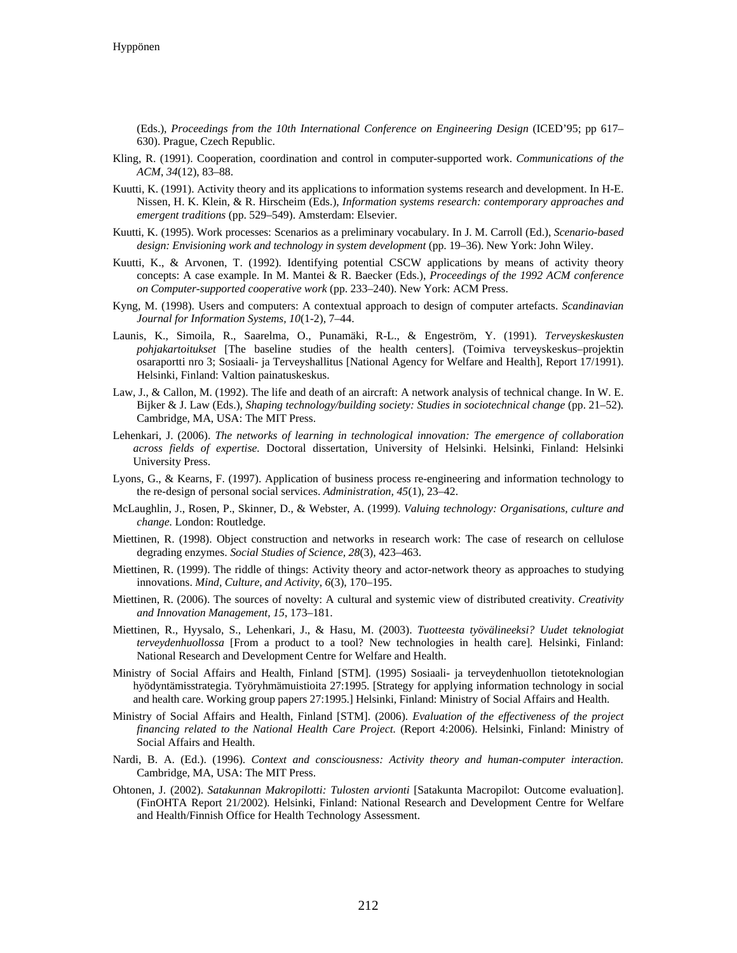(Eds.), *Proceedings from the 10th International Conference on Engineering Design* (ICED'95; pp 617– 630). Prague, Czech Republic.

- Kling, R. (1991). Cooperation, coordination and control in computer-supported work. *Communications of the ACM*, *34*(12), 83–88.
- Kuutti, K. (1991). Activity theory and its applications to information systems research and development. In H-E. Nissen, H. K. Klein, & R. Hirscheim (Eds.), *Information systems research: contemporary approaches and emergent traditions* (pp. 529–549). Amsterdam: Elsevier.
- Kuutti, K. (1995). Work processes: Scenarios as a preliminary vocabulary. In J. M. Carroll (Ed.), *Scenario-based design: Envisioning work and technology in system development* (pp. 19–36). New York: John Wiley.
- Kuutti, K., & Arvonen, T. (1992). Identifying potential CSCW applications by means of activity theory concepts: A case example. In M. Mantei & R. Baecker (Eds.), *Proceedings of the 1992 ACM conference on Computer-supported cooperative work* (pp. 233–240). New York: ACM Press.
- Kyng, M. (1998). Users and computers: A contextual approach to design of computer artefacts. *Scandinavian Journal for Information Systems, 10*(1-2), 7–44.
- Launis, K., Simoila, R., Saarelma, O., Punamäki, R-L., & Engeström, Y. (1991). *Terveyskeskusten pohjakartoitukset* [The baseline studies of the health centers]. (Toimiva terveyskeskus–projektin osaraportti nro 3; Sosiaali- ja Terveyshallitus [National Agency for Welfare and Health], Report 17/1991). Helsinki, Finland: Valtion painatuskeskus.
- Law, J., & Callon, M. (1992). The life and death of an aircraft: A network analysis of technical change. In W. E. Bijker & J. Law (Eds.), *Shaping technology/building society: Studies in sociotechnical change* (pp. 21–52)*.* Cambridge, MA, USA: The MIT Press.
- Lehenkari, J. (2006). *The networks of learning in technological innovation: The emergence of collaboration across fields of expertise.* Doctoral dissertation, University of Helsinki. Helsinki, Finland: Helsinki University Press.
- Lyons, G., & Kearns, F. (1997). Application of business process re-engineering and information technology to the re-design of personal social services. *Administration, 45*(1), 23–42.
- McLaughlin, J., Rosen, P., Skinner, D., & Webster, A. (1999). *Valuing technology: Organisations, culture and change.* London: Routledge.
- Miettinen, R. (1998). Object construction and networks in research work: The case of research on cellulose degrading enzymes. *Social Studies of Science, 28*(3), 423–463.
- Miettinen, R. (1999). The riddle of things: Activity theory and actor-network theory as approaches to studying innovations. *Mind, Culture, and Activity, 6*(3), 170–195.
- Miettinen, R. (2006). The sources of novelty: A cultural and systemic view of distributed creativity. *Creativity and Innovation Management, 15*, 173–181.
- Miettinen, R., Hyysalo, S., Lehenkari, J., & Hasu, M. (2003). *Tuotteesta työvälineeksi? Uudet teknologiat terveydenhuollossa* [From a product to a tool? New technologies in health care]*.* Helsinki, Finland: National Research and Development Centre for Welfare and Health.
- Ministry of Social Affairs and Health, Finland [STM]. (1995) Sosiaali- ja terveydenhuollon tietoteknologian hyödyntämisstrategia. Työryhmämuistioita 27:1995. [Strategy for applying information technology in social and health care. Working group papers 27:1995.] Helsinki, Finland: Ministry of Social Affairs and Health.
- Ministry of Social Affairs and Health, Finland [STM]. (2006). *Evaluation of the effectiveness of the project financing related to the National Health Care Project.* (Report 4:2006). Helsinki, Finland: Ministry of Social Affairs and Health.
- Nardi, B. A. (Ed.). (1996). *Context and consciousness: Activity theory and human-computer interaction.*  Cambridge, MA, USA: The MIT Press.
- Ohtonen, J. (2002). *Satakunnan Makropilotti: Tulosten arvionti* [Satakunta Macropilot: Outcome evaluation]. (FinOHTA Report 21/2002)*.* Helsinki, Finland: National Research and Development Centre for Welfare and Health/Finnish Office for Health Technology Assessment.